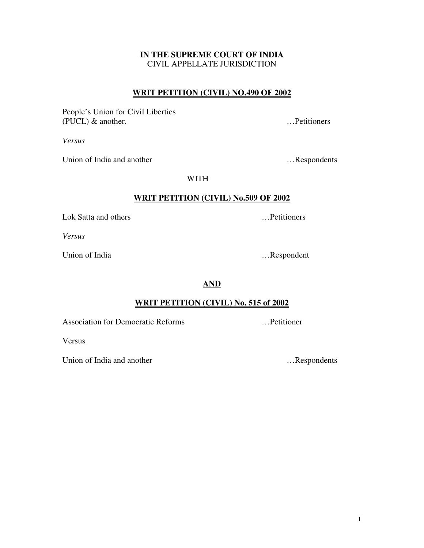1

# **IN THE SUPREME COURT OF INDIA** CIVIL APPELLATE JURISDICTION

# **WRIT PETITION (CIVIL) NO.490 OF 2002**

People's Union for Civil Liberties (PUCL) & another. …Petitioners

*Versus*

Union of India and another methods with the subset of India and another methods with  $\ldots$  Respondents

WITH

# **WRIT PETITION (CIVIL) No.509 OF 2002**

Lok Satta and others <br>
....Petitioners

*Versus*

Union of India …Respondent

**AND**

# **WRIT PETITION (CIVIL) No. 515 of 2002**

Association for Democratic Reforms …Petitioner

Versus

Union of India and another methods in the set of the set of the set of the set of the set of the set of the set of the set of the set of the set of the set of the set of the set of the set of the set of the set of the set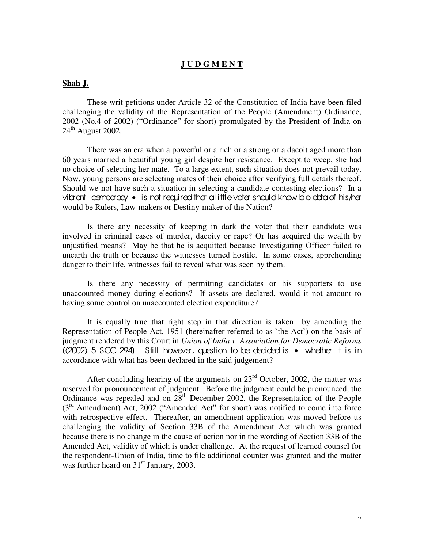## **J U D G M E N T**

#### **Shah J.**

These writ petitions under Article 32 of the Constitution of India have been filed challenging the validity of the Representation of the People (Amendment) Ordinance, 2002 (No.4 of 2002) ("Ordinance" for short) promulgated by the President of India on  $24<sup>th</sup>$  August 2002.

There was an era when a powerful or a rich or a strong or a dacoit aged more than 60 years married a beautiful young girl despite her resistance. Except to weep, she had no choice of selecting her mate. To a large extent, such situation does not prevail today. Now, young persons are selecting mates of their choice after verifying full details thereof. Should we not have such a situation in selecting a candidate contesting elections? In a vibrant democracy • is not required that a little voter should know bio-data of his/her would be Rulers, Law-makers or Destiny-maker of the Nation?

Is there any necessity of keeping in dark the voter that their candidate was involved in criminal cases of murder, dacoity or rape? Or has acquired the wealth by unjustified means? May be that he is acquitted because Investigating Officer failed to unearth the truth or because the witnesses turned hostile. In some cases, apprehending danger to their life, witnesses fail to reveal what was seen by them.

Is there any necessity of permitting candidates or his supporters to use unaccounted money during elections? If assets are declared, would it not amount to having some control on unaccounted election expenditure?

It is equally true that right step in that direction is taken by amending the Representation of People Act, 1951 (hereinafter referred to as `the Act') on the basis of judgment rendered by this Court in *Union of India v. Association for Democratic Reforms*  $((2002) 5 \text{ SCC } 294)$ . Still however, question to be decided is  $\bullet$  whether it is in accordance with what has been declared in the said judgement?

After concluding hearing of the arguments on  $23<sup>rd</sup>$  October, 2002, the matter was reserved for pronouncement of judgment. Before the judgment could be pronounced, the Ordinance was repealed and on  $28<sup>th</sup>$  December 2002, the Representation of the People (3<sup>rd</sup> Amendment) Act, 2002 ("Amended Act" for short) was notified to come into force with retrospective effect. Thereafter, an amendment application was moved before us challenging the validity of Section 33B of the Amendment Act which was granted because there is no change in the cause of action nor in the wording of Section 33B of the Amended Act, validity of which is under challenge. At the request of learned counsel for the respondent-Union of India, time to file additional counter was granted and the matter was further heard on 31<sup>st</sup> January, 2003.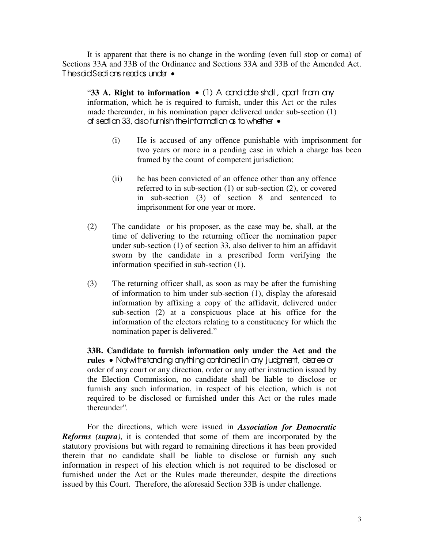It is apparent that there is no change in the wording (even full stop or coma) of Sections 33A and 33B of the Ordinance and Sections 33A and 33B of the Amended Act. The said Sections read as under •

"**33 A. Right to information •** (1) A candidate shall, apart from any information, which he is required to furnish, under this Act or the rules made thereunder, in his nomination paper delivered under sub-section (1) of sedian 33, dso furnish the information as to whether  $\bullet$ 

- (i) He is accused of any offence punishable with imprisonment for two years or more in a pending case in which a charge has been framed by the count of competent jurisdiction;
- (ii) he has been convicted of an offence other than any offence referred to in sub-section (1) or sub-section (2), or covered in sub-section (3) of section 8 and sentenced to imprisonment for one year or more.
- (2) The candidate or his proposer, as the case may be, shall, at the time of delivering to the returning officer the nomination paper under sub-section (1) of section 33, also deliver to him an affidavit sworn by the candidate in a prescribed form verifying the information specified in sub-section (1).
- (3) The returning officer shall, as soon as may be after the furnishing of information to him under sub-section (1), display the aforesaid information by affixing a copy of the affidavit, delivered under sub-section (2) at a conspicuous place at his office for the information of the electors relating to a constituency for which the nomination paper is delivered."

**33B. Candidate to furnish information only under the Act and the rules** • Notwithstanding anything contained in any judgment, decree or order of any court or any direction, order or any other instruction issued by the Election Commission, no candidate shall be liable to disclose or furnish any such information, in respect of his election, which is not required to be disclosed or furnished under this Act or the rules made thereunder".

For the directions, which were issued in *Association for Democratic Reforms (supra)*, it is contended that some of them are incorporated by the statutory provisions but with regard to remaining directions it has been provided therein that no candidate shall be liable to disclose or furnish any such information in respect of his election which is not required to be disclosed or furnished under the Act or the Rules made thereunder, despite the directions issued by this Court. Therefore, the aforesaid Section 33B is under challenge.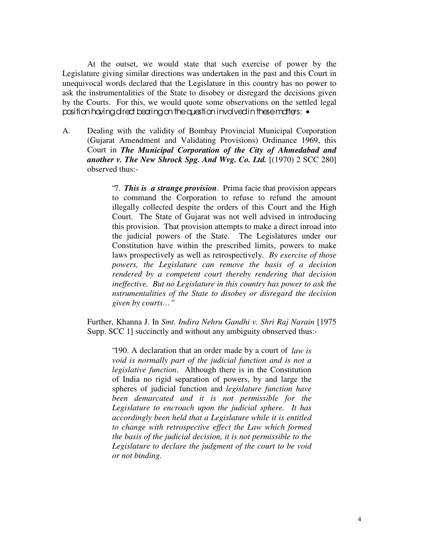At the outset, we would state that such exercise of power by the Legislature giving similar directions was undertaken in the past and this Court in unequivocal words declared that the Legislature in this country has no power to ask the instrumentalities of the State to disobey or disregard the decisions given by the Courts. For this, we would quote some observations on the settled legal position having direct bearing on the question involved in these matters: •

A. Dealing with the validity of Bombay Provincial Municipal Corporation (Gujarat Amendment and Validating Provisions) Ordinance 1969, this Court in *The Municipal Corporation of the City of Ahmedabad and another v. The New Shrock Spg. And Wvg. Co. Ltd.* [(1970) 2 SCC 280] observed thus:-

> "7. *This is a strange provision*. Prima facie that provision appears to command the Corporation to refuse to refund the amount illegally collected despite the orders of this Court and the High Court. The State of Gujarat was not well advised in introducing this provision. That provision attempts to make a direct inroad into the judicial powers of the State. The Legislatures under our Constitution have within the prescribed limits, powers to make laws prospectively as well as retrospectively. *By exercise of those powers, the Legislature can remove the basis of a decision rendered by a competent court thereby rendering that decision ineffective. But no Legislature in this country has power to ask the nstrumentalities of the State to disobey or disregard the decision given by courts…"*

Further, Khanna J. In *Smt. Indira Nehru Gandhi v. Shri Raj Narain* [1975 Supp. SCC 1] succinctly and without any ambiguity obnserved thus:-

"190. A declaration that an order made by a court of *law is void is normally part of the judicial function and is not a legislative function*. Although there is in the Constitution of India no rigid separation of powers, by and large the spheres of judicial function and *legislature function have been demarcated and it is not permissible for the Legislature to encroach upon the judicial sphere. It has accordingly been held that a Legislature while it is entitled to change with retrospective effect the Law which formed the basis of the judicial decision, it is not permissible to the Legislature to declare the judgment of the court to be void or not binding*.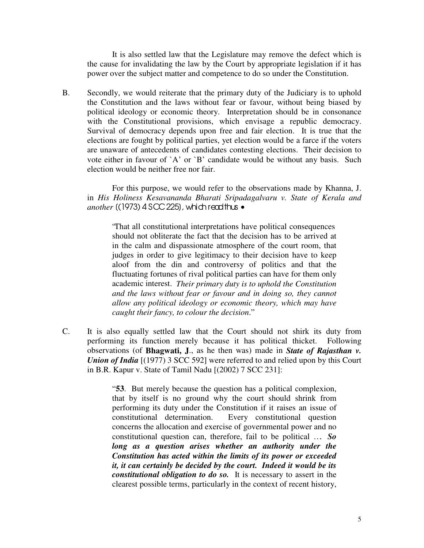It is also settled law that the Legislature may remove the defect which is the cause for invalidating the law by the Court by appropriate legislation if it has power over the subject matter and competence to do so under the Constitution.

B. Secondly, we would reiterate that the primary duty of the Judiciary is to uphold the Constitution and the laws without fear or favour, without being biased by political ideology or economic theory. Interpretation should be in consonance with the Constitutional provisions, which envisage a republic democracy. Survival of democracy depends upon free and fair election. It is true that the elections are fought by political parties, yet election would be a farce if the voters are unaware of antecedents of candidates contesting elections. Their decision to vote either in favour of `A' or `B' candidate would be without any basis. Such election would be neither free nor fair.

For this purpose, we would refer to the observations made by Khanna, J. in *His Holiness Kesavananda Bharati Sripadagalvaru v. State of Kerala and another* [(1973) 4 SCC 225], which read thus •

"That all constitutional interpretations have political consequences should not obliterate the fact that the decision has to be arrived at in the calm and dispassionate atmosphere of the court room, that judges in order to give legitimacy to their decision have to keep aloof from the din and controversy of politics and that the fluctuating fortunes of rival political parties can have for them only academic interest. *Their primary duty is to uphold the Constitution and the laws without fear or favour and in doing so, they cannot allow any political ideology or economic theory, which may have caught their fancy, to colour the decision*."

C. It is also equally settled law that the Court should not shirk its duty from performing its function merely because it has political thicket. Following observations (of **Bhagwati, J**., as he then was) made in *State of Rajasthan v. Union of India* [(1977) 3 SCC 592] were referred to and relied upon by this Court in B.R. Kapur v. State of Tamil Nadu [(2002) 7 SCC 231]:

> " **53**. But merely because the question has a political complexion, that by itself is no ground why the court should shrink from performing its duty under the Constitution if it raises an issue of constitutional determination. Every constitutional question concerns the allocation and exercise of governmental power and no constitutional question can, therefore, fail to be political …. *So long as a question arises whether an authority under the Constitution has acted within the limits of its power or exceeded it, it can certainly be decided by the court. Indeed it would be its constitutional obligation to do so.* It is necessary to assert in the clearest possible terms, particularly in the context of recent history,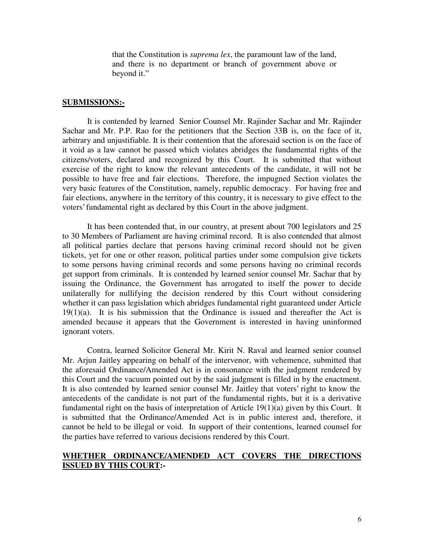that the Constitution is *suprema lex*, the paramount law of the land, and there is no department or branch of government above or beyond it."

#### **SUBMISSIONS:-**

It is contended by learned Senior Counsel Mr. Rajinder Sachar and Mr. Rajinder Sachar and Mr. P.P. Rao for the petitioners that the Section 33B is, on the face of it, arbitrary and unjustifiable. It is their contention that the aforesaid section is on the face of it void as a law cannot be passed which violates abridges the fundamental rights of the citizens/voters, declared and recognized by this Court. It is submitted that without exercise of the right to know the relevant antecedents of the candidate, it will not be possible to have free and fair elections. Therefore, the impugned Section violates the very basic features of the Constitution, namely, republic democracy. For having free and fair elections, anywhere in the territory of this country, it is necessary to give effect to the voters' fundamental right as declared by this Court in the above judgment.

It has been contended that, in our country, at present about 700 legislators and 25 to 30 Members of Parliament are having criminal record. It is also contended that almost all political parties declare that persons having criminal record should not be given tickets, yet for one or other reason, political parties under some compulsion give tickets to some persons having criminal records and some persons having no criminal records get support from criminals. It is contended by learned senior counsel Mr. Sachar that by issuing the Ordinance, the Government has arrogated to itself the power to decide unilaterally for nullifying the decision rendered by this Court without considering whether it can pass legislation which abridges fundamental right guaranteed under Article  $19(1)(a)$ . It is his submission that the Ordinance is issued and thereafter the Act is amended because it appears that the Government is interested in having uninformed ignorant voters.

Contra, learned Solicitor General Mr. Kirit N. Raval and learned senior counsel Mr. Arjun Jaitley appearing on behalf of the intervenor, with vehemence, submitted that the aforesaid Ordinance/Amended Act is in consonance with the judgment rendered by this Court and the vacuum pointed out by the said judgment is filled in by the enactment. It is also contended by learned senior counsel Mr. Jaitley that voters' right to know the antecedents of the candidate is not part of the fundamental rights, but it is a derivative fundamental right on the basis of interpretation of Article 19(1)(a) given by this Court. It is submitted that the Ordinance/Amended Act is in public interest and, therefore, it cannot be held to be illegal or void. In support of their contentions, learned counsel for the parties have referred to various decisions rendered by this Court.

## **WHETHER ORDINANCE/AMENDED ACT COVERS THE DIRECTIONS ISSUED BY THIS COURT:-**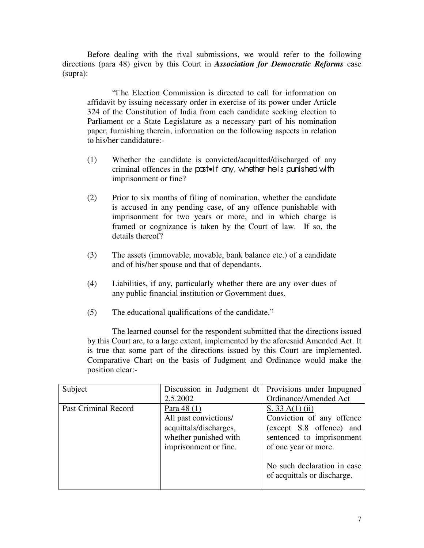Before dealing with the rival submissions, we would refer to the following directions (para 48) given by this Court in *Association for Democratic Reforms* case (supra):

"T he Election Commission is directed to call for information on affidavit by issuing necessary order in exercise of its power under Article 324 of the Constitution of India from each candidate seeking election to Parliament or a State Legislature as a necessary part of his nomination paper, furnishing therein, information on the following aspects in relation to his/her candidature:-

- (1) Whether the candidate is convicted/acquitted/discharged of any criminal offences in the post•if any, whether he is punished with imprisonment or fine?
- (2) Prior to six months of filing of nomination, whether the candidate is accused in any pending case, of any offence punishable with imprisonment for two years or more, and in which charge is framed or cognizance is taken by the Court of law. If so, the details thereof?
- (3) The assets (immovable, movable, bank balance etc.) of a candidate and of his/her spouse and that of dependants.
- (4) Liabilities, if any, particularly whether there are any over dues of any public financial institution or Government dues.
- (5) The educational qualifications of the candidate."

The learned counsel for the respondent submitted that the directions issued by this Court are, to a large extent, implemented by the aforesaid Amended Act. It is true that some part of the directions issued by this Court are implemented. Comparative Chart on the basis of Judgment and Ordinance would make the position clear:-

| Subject                     | Discussion in Judgment dt                                                                                        | Provisions under Impugned                                                                                                       |
|-----------------------------|------------------------------------------------------------------------------------------------------------------|---------------------------------------------------------------------------------------------------------------------------------|
|                             | 2.5.2002                                                                                                         | Ordinance/Amended Act                                                                                                           |
| <b>Past Criminal Record</b> | Para 48 (1)<br>All past convictions/<br>acquittals/discharges,<br>whether punished with<br>imprisonment or fine. | S. $33 A(1)$ (ii)<br>Conviction of any offence<br>(except S.8 offence) and<br>sentenced to imprisonment<br>of one year or more. |
|                             |                                                                                                                  | No such declaration in case<br>of acquittals or discharge.                                                                      |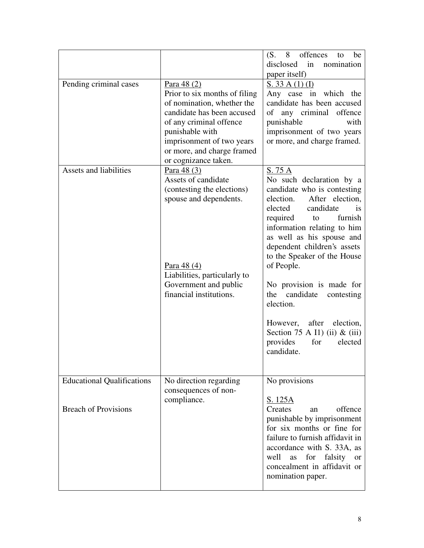| Pending criminal cases                                           | Para $48(2)$<br>Prior to six months of filing<br>of nomination, whether the<br>candidate has been accused<br>of any criminal offence<br>punishable with<br>imprisonment of two years<br>or more, and charge framed<br>or cognizance taken. | offences to<br>$(S. \quad 8$<br>be<br>in<br>disclosed<br>nomination<br>paper itself)<br>S. 33 A(1) (I)<br>Any case in which the<br>candidate has been accused<br>offence<br>any criminal<br>of<br>punishable<br>with<br>imprisonment of two years<br>or more, and charge framed.                                                                                                                                                                                                                          |
|------------------------------------------------------------------|--------------------------------------------------------------------------------------------------------------------------------------------------------------------------------------------------------------------------------------------|-----------------------------------------------------------------------------------------------------------------------------------------------------------------------------------------------------------------------------------------------------------------------------------------------------------------------------------------------------------------------------------------------------------------------------------------------------------------------------------------------------------|
| Assets and liabilities                                           | Para 48 (3)<br>Assets of candidate<br>(contesting the elections)<br>spouse and dependents.<br>Para 48 (4)<br>Liabilities, particularly to<br>Government and public<br>financial institutions.                                              | S. 75 A<br>No such declaration by a<br>candidate who is contesting<br>election.<br>After election,<br>elected<br>candidate<br><i>is</i><br>required<br>furnish<br>to<br>information relating to him<br>as well as his spouse and<br>dependent children's assets<br>to the Speaker of the House<br>of People.<br>No provision is made for<br>candidate<br>the<br>contesting<br>election.<br>after<br>election,<br>However,<br>Section 75 A I1) (ii) $\&$ (iii)<br>provides<br>for<br>elected<br>candidate. |
| <b>Educational Qualifications</b><br><b>Breach of Provisions</b> | No direction regarding<br>consequences of non-<br>compliance.                                                                                                                                                                              | No provisions<br><u>S. 125A</u><br>offence<br>Creates<br>an<br>punishable by imprisonment<br>for six months or fine for<br>failure to furnish affidavit in<br>accordance with S. 33A, as<br>for<br>falsity<br>well<br>as<br><b>or</b><br>concealment in affidavit or<br>nomination paper.                                                                                                                                                                                                                 |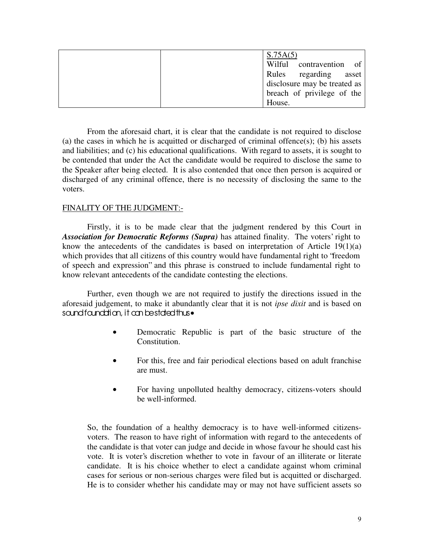| S.75A(5)                     |
|------------------------------|
| Wilful contravention of      |
| Rules regarding asset        |
| disclosure may be treated as |
| breach of privilege of the   |
| House.                       |

From the aforesaid chart, it is clear that the candidate is not required to disclose (a) the cases in which he is acquitted or discharged of criminal offence(s); (b) his assets and liabilities; and (c) his educational qualifications. With regard to assets, it is sought to be contended that under the Act the candidate would be required to disclose the same to the Speaker after being elected. It is also contended that once then person is acquired or discharged of any criminal offence, there is no necessity of disclosing the same to the voters.

# FINALITY OF THE JUDGMENT:-

Firstly, it is to be made clear that the judgment rendered by this Court in *Association for Democratic Reforms (Supra)* has attained finality. The voters' right to know the antecedents of the candidates is based on interpretation of Article 19(1)(a) which provides that all citizens of this country would have fundamental right to "freedom of speech and expression" and this phrase is construed to include fundamental right to know relevant antecedents of the candidate contesting the elections.

Further, even though we are not required to justify the directions issued in the aforesaid judgement, to make it abundantly clear that it is not *ipse dixit* and is based on sound found dign, it can be stated thus•

- Democratic Republic is part of the basic structure of the Constitution.
- For this, free and fair periodical elections based on adult franchise are must.
- For having unpolluted healthy democracy, citizens-voters should be well-informed.

So, the foundation of a healthy democracy is to have well-informed citizensvoters. The reason to have right of information with regard to the antecedents of the candidate is that voter can judge and decide in whose favour he should cast his vote. It is voter's discretion whether to vote in favour of an illiterate or literate candidate. It is his choice whether to elect a candidate against whom criminal cases for serious or non-serious charges were filed but is acquitted or discharged. He is to consider whether his candidate may or may not have sufficient assets so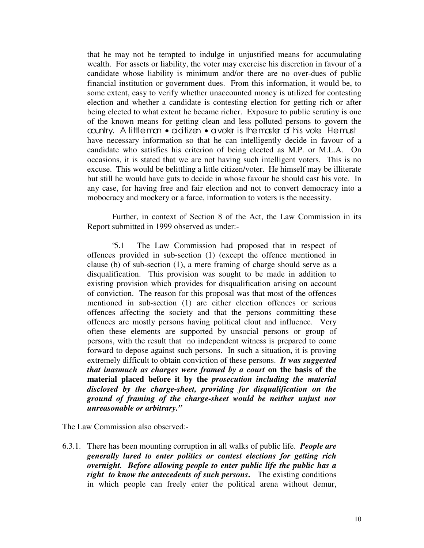that he may not be tempted to indulge in unjustified means for accumulating wealth. For assets or liability, the voter may exercise his discretion in favour of a candidate whose liability is minimum and/or there are no over-dues of public financial institution or government dues. From this information, it would be, to some extent, easy to verify whether unaccounted money is utilized for contesting election and whether a candidate is contesting election for getting rich or after being elected to what extent he became richer. Exposure to public scrutiny is one of the known means for getting clean and less polluted persons to govern the country. A little man • a ditizen • a voter is the master of his vote. He must have necessary information so that he can intelligently decide in favour of a candidate who satisfies his criterion of being elected as M.P. or M.L.A. On occasions, it is stated that we are not having such intelligent voters. This is no excuse. This would be belittling a little citizen/voter. He himself may be illiterate but still he would have guts to decide in whose favour he should cast his vote. In any case, for having free and fair election and not to convert democracy into a mobocracy and mockery or a farce, information to voters is the necessity.

Further, in context of Section 8 of the Act, the Law Commission in its Report submitted in 1999 observed as under:-

"5.1 The Law Commission had proposed that in respect of offences provided in sub-section (1) (except the offence mentioned in clause (b) of sub-section (1), a mere framing of charge should serve as a disqualification. This provision was sought to be made in addition to existing provision which provides for disqualification arising on account of conviction. The reason for this proposal was that most of the offences mentioned in sub-section (1) are either election offences or serious offences affecting the society and that the persons committing these offences are mostly persons having political clout and influence. Very often these elements are supported by unsocial persons or group of persons, with the result that no independent witness is prepared to come forward to depose against such persons. In such a situation, it is proving extremely difficult to obtain conviction of these persons. *It was suggested that inasmuch as charges were framed by a court* **on the basis of the material placed before it by the** *prosecution including the material disclosed by the charge-sheet, providing for disqualification on the ground of framing of the charge-sheet would be neither unjust nor unreasonable or arbitrary."*

The Law Commission also observed:-

6.3.1. There has been mounting corruption in all walks of public life. *People are generally lured to enter politics or contest elections for getting rich overnight. Before allowing people to enter public life the public has a right to know the antecedents of such persons***.** The existing conditions in which people can freely enter the political arena without demur,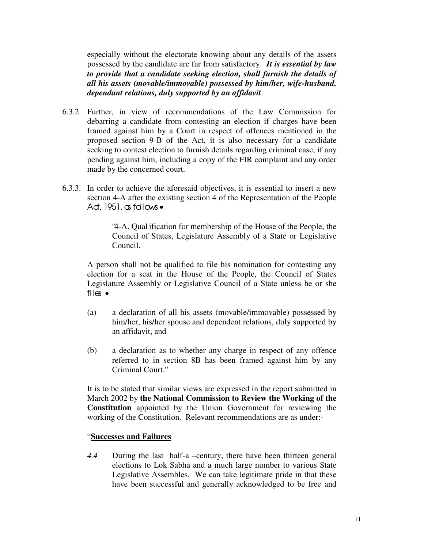especially without the electorate knowing about any details of the assets possessed by the candidate are far from satisfactory. *It is essential by law to provide that a candidate seeking election, shall furnish the details of all his assets (movable/immovable) possessed by him/her, wife-husband, dependant relations, duly supported by an affidavit*.

- 6.3.2. Further, in view of recommendations of the Law Commission for debarring a candidate from contesting an election if charges have been framed against him by a Court in respect of offences mentioned in the proposed section 9-B of the Act, it is also necessary for a candidate seeking to contest election to furnish details regarding criminal case, if any pending against him, including a copy of the FIR complaint and any order made by the concerned court.
- 6.3.3. In order to achieve the aforesaid objectives, it is essential to insert a new section 4-A after the existing section 4 of the Representation of the People Ad,  $1951$ , as follows  $\bullet$

"4-A. Qual ification for membership of the House of the People, the Council of States, Legislature Assembly of a State or Legislative Council.

A person shall not be qualified to file his nomination for contesting any election for a seat in the House of the People, the Council of States Legislature Assembly or Legislative Council of a State unless he or she files •

- (a) a declaration of all his assets (movable/immovable) possessed by him/her, his/her spouse and dependent relations, duly supported by an affidavit, and
- (b) a declaration as to whether any charge in respect of any offence referred to in section 8B has been framed against him by any Criminal Court."

It is to be stated that similar views are expressed in the report submitted in March 2002 by **the National Commission to Review the Working of the Constitution** appointed by the Union Government for reviewing the working of the Constitution. Relevant recommendations are as under:-

## " **Successes and Failures**

*4.4* During the last half-a –century, there have been thirteen general elections to Lok Sabha and a much large number to various State Legislative Assembles. We can take legitimate pride in that these have been successful and generally acknowledged to be free and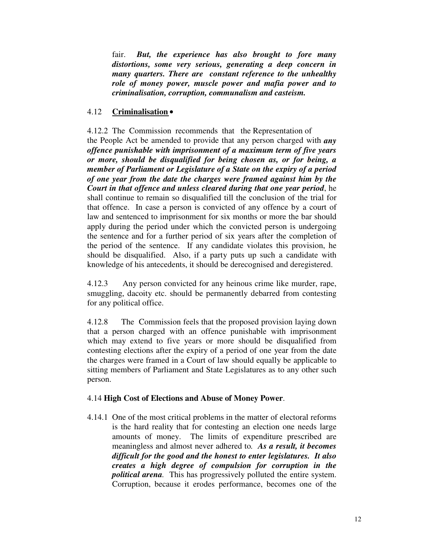fair. *But, the experience has also brought to fore many distortions, some very serious, generating a deep concern in many quarters. There are constant reference to the unhealthy role of money power, muscle power and mafia power and to criminalisation, corruption, communalism and casteism.*

## 4.12 **Criminalisation**•

4.12.2 The Commission recommends that the Representation of the People Act be amended to provide that any person charged with *any offence punishable with imprisonment of a maximum term of five years or more, should be disqualified for being chosen as, or for being, a member of Parliament or Legislature of a State on the expiry of a period of one year from the date the charges were framed against him by the Court in that offence and unless cleared during that one year period*, he shall continue to remain so disqualified till the conclusion of the trial for that offence. In case a person is convicted of any offence by a court of law and sentenced to imprisonment for six months or more the bar should apply during the period under which the convicted person is undergoing the sentence and for a further period of six years after the completion of the period of the sentence. If any candidate violates this provision, he should be disqualified. Also, if a party puts up such a candidate with knowledge of his antecedents, it should be derecognised and deregistered.

4.12.3 Any person convicted for any heinous crime like murder, rape, smuggling, dacoity etc. should be permanently debarred from contesting for any political office.

4.12.8 The Commission feels that the proposed provision laying down that a person charged with an offence punishable with imprisonment which may extend to five years or more should be disqualified from contesting elections after the expiry of a period of one year from the date the charges were framed in a Court of law should equally be applicable to sitting members of Parliament and State Legislatures as to any other such person.

## 4.14 **High Cost of Elections and Abuse of Money Power**.

4.14.1 One of the most critical problems in the matter of electoral reforms is the hard reality that for contesting an election one needs large amounts of money. The limits of expenditure prescribed are meaningless and almost never adhered to*. As a result, it becomes difficult for the good and the honest to enter legislatures. It also creates a high degree of compulsion for corruption in the political arena.* This has progressively polluted the entire system. Corruption, because it erodes performance, becomes one of the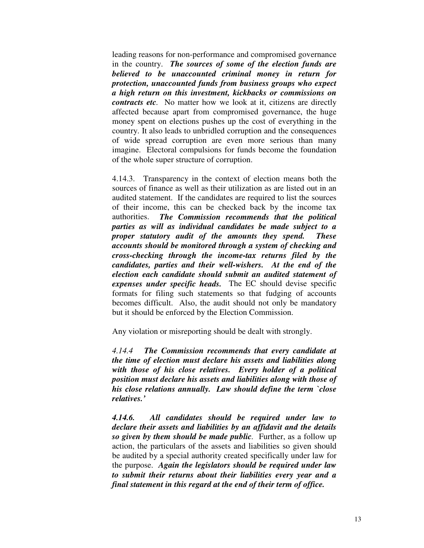leading reasons for non-performance and compromised governance in the country. *The sources of some of the election funds are believed to be unaccounted criminal money in return for protection, unaccounted funds from business groups who expect a high return on this investment, kickbacks or commissions on contracts etc.* No matter how we look at it, citizens are directly affected because apart from compromised governance, the huge money spent on elections pushes up the cost of everything in the country. It also leads to unbridled corruption and the consequences of wide spread corruption are even more serious than many imagine. Electoral compulsions for funds become the foundation of the whole super structure of corruption.

4.14.3. Transparency in the context of election means both the sources of finance as well as their utilization as are listed out in an audited statement. If the candidates are required to list the sources of their income, this can be checked back by the income tax authorities. *The Commission recommends that the political parties as will as individual candidates be made subject to a proper statutory audit of the amounts they spend. These accounts should be monitored through a system of checking and cross-checking through the income-tax returns filed by the candidates, parties and their well-wishers. At the end of the election each candidate should submit an audited statement of expenses under specific heads.* The EC should devise specific formats for filing such statements so that fudging of accounts becomes difficult. Also, the audit should not only be mandatory but it should be enforced by the Election Commission.

Any violation or misreporting should be dealt with strongly.

*4.14.4 The Commission recommends that every candidate at the time of election must declare his assets and liabilities along with those of his close relatives. Every holder of a political position must declare his assets and liabilities along with those of his close relations annually. Law should define the term `close relatives.'*

*4.14.6. All candidates should be required under law to declare their assets and liabilities by an affidavit and the details so given by them should be made public.* Further, as a follow up action, the particulars of the assets and liabilities so given should be audited by a special authority created specifically under law for the purpose. *Again the legislators should be required under law to submit their returns about their liabilities every year and a final statement in this regard at the end of their term of office.*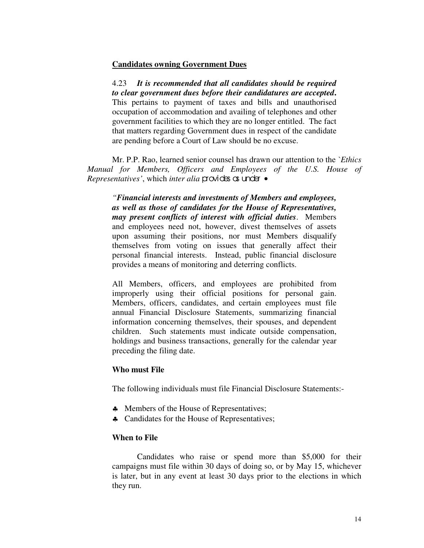## **Candidates owning Government Dues**

4.23 *It is recommended that all candidates should be required to clear government dues before their candidatures are accepted***.** This pertains to payment of taxes and bills and unauthorised occupation of accommodation and availing of telephones and other government facilities to which they are no longer entitled. The fact that matters regarding Government dues in respect of the candidate are pending before a Court of Law should be no excuse.

Mr. P.P. Rao, learned senior counsel has drawn our attention to the *`Ethics Manual for Members, Officers and Employees of the U.S. House of Representatives'*, which *inter alia* provides as under •

*"Financial interests and investments of Members and employees, as well as those of candidates for the House of Representatives, may present conflicts of interest with official duties*. Members and employees need not, however, divest themselves of assets upon assuming their positions, nor must Members disqualify themselves from voting on issues that generally affect their personal financial interests. Instead, public financial disclosure provides a means of monitoring and deterring conflicts.

All Members, officers, and employees are prohibited from improperly using their official positions for personal gain. Members, officers, candidates, and certain employees must file annual Financial Disclosure Statements, summarizing financial information concerning themselves, their spouses, and dependent children. Such statements must indicate outside compensation, holdings and business transactions, generally for the calendar year preceding the filing date.

#### **Who must File**

The following individuals must file Financial Disclosure Statements:-

- ♣ Members of the House of Representatives;
- ♣ Candidates for the House of Representatives;

## **When to File**

Candidates who raise or spend more than \$5,000 for their campaigns must file within 30 days of doing so, or by May 15, whichever is later, but in any event at least 30 days prior to the elections in which they run.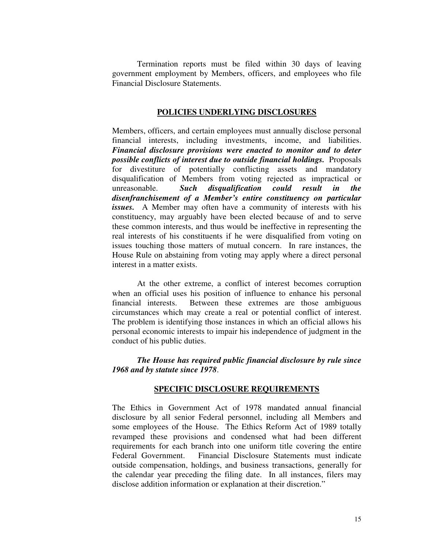Termination reports must be filed within 30 days of leaving government employment by Members, officers, and employees who file Financial Disclosure Statements.

#### **POLICIES UNDERLYING DISCLOSURES**

Members, officers, and certain employees must annually disclose personal financial interests, including investments, income, and liabilities. *Financial disclosure provisions were enacted to monitor and to deter possible conflicts of interest due to outside financial holdings.* Proposals for divestiture of potentially conflicting assets and mandatory disqualification of Members from voting rejected as impractical or unreasonable. *Such disqualification could result in the disenfranchisement of a Member's entire constituency on particular issues.* A Member may often have a community of interests with his constituency, may arguably have been elected because of and to serve these common interests, and thus would be ineffective in representing the real interests of his constituents if he were disqualified from voting on issues touching those matters of mutual concern. In rare instances, the House Rule on abstaining from voting may apply where a direct personal interest in a matter exists.

At the other extreme, a conflict of interest becomes corruption when an official uses his position of influence to enhance his personal financial interests. Between these extremes are those ambiguous circumstances which may create a real or potential conflict of interest. The problem is identifying those instances in which an official allows his personal economic interests to impair his independence of judgment in the conduct of his public duties.

*The House has required public financial disclosure by rule since 1968 and by statute since 1978*.

#### **SPECIFIC DISCLOSURE REQUIREMENTS**

The Ethics in Government Act of 1978 mandated annual financial disclosure by all senior Federal personnel, including all Members and some employees of the House. The Ethics Reform Act of 1989 totally revamped these provisions and condensed what had been different requirements for each branch into one uniform title covering the entire Federal Government. Financial Disclosure Statements must indicate outside compensation, holdings, and business transactions, generally for the calendar year preceding the filing date. In all instances, filers may disclose addition information or explanation at their discretion."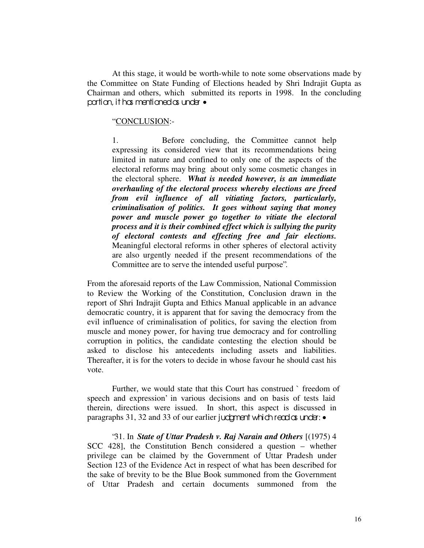At this stage, it would be worth-while to note some observations made by the Committee on State Funding of Elections headed by Shri Indrajit Gupta as Chairman and others, which submitted its reports in 1998. In the concluding portion, it has mentioned as under  $\bullet$ 

#### "CONCLUSION:-

1. Before concluding, the Committee cannot help expressing its considered view that its recommendations being limited in nature and confined to only one of the aspects of the electoral reforms may bring about only some cosmetic changes in the electoral sphere. *What is needed however, is an immediate overhauling of the electoral process whereby elections are freed from evil influence of all vitiating factors, particularly, criminalisation of politics. It goes without saying that money power and muscle power go together to vitiate the electoral process and it is their combined effect which is sullying the purity of electoral contests and effecting free and fair elections.* Meaningful electoral reforms in other spheres of electoral activity are also urgently needed if the present recommendations of the Committee are to serve the intended useful purpose".

From the aforesaid reports of the Law Commission, National Commission to Review the Working of the Constitution, Conclusion drawn in the report of Shri Indrajit Gupta and Ethics Manual applicable in an advance democratic country, it is apparent that for saving the democracy from the evil influence of criminalisation of politics, for saving the election from muscle and money power, for having true democracy and for controlling corruption in politics, the candidate contesting the election should be asked to disclose his antecedents including assets and liabilities. Thereafter, it is for the voters to decide in whose favour he should cast his vote.

Further, we would state that this Court has construed `freedom of speech and expression' in various decisions and on basis of tests laid therein, directions were issued. In short, this aspect is discussed in paragraphs 31, 32 and 33 of our earlier judgment which read  $\alpha$  under:  $\bullet$ 

"31. In *State of Uttar Pradesh v. Raj Narain and Others* [(1975) 4 SCC 428], the Constitution Bench considered a question – whether privilege can be claimed by the Government of Uttar Pradesh under Section 123 of the Evidence Act in respect of what has been described for the sake of brevity to be the Blue Book summoned from the Government of Uttar Pradesh and certain documents summoned from the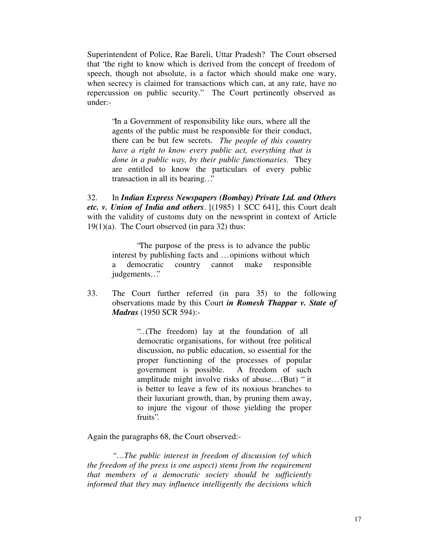Superintendent of Police, Rae Bareli, Uttar Pradesh? The Court obsersed that "the right to know which is derived from the concept of freedom of speech, though not absolute, is a factor which should make one wary, when secrecy is claimed for transactions which can, at any rate, have no repercussion on public security." The Court pertinently observed as under:-

"In a Government of responsibility like ours, where all the agents of the public must be responsible for their conduct, there can be but few secrets. *The people of this country have a right to know every public act, everything that is done in a public way, by their public functionaries*. They are entitled to know the particulars of every public transaction in all its bearing…"

32. In *Indian Express Newspapers (Bombay) Private Ltd. and Others etc. v. Union of India and others*. [(1985) 1 SCC 641], this Court dealt with the validity of customs duty on the newsprint in context of Article  $19(1)(a)$ . The Court observed (in para 32) thus:

"The purpose of the press is to advance the public interest by publishing facts and … opinions without which a democratic country cannot make responsible judgements…"

33. The Court further referred (in para 35) to the following observations made by this Court *in Romesh Thappar v. State of Madras* (1950 SCR 594):-

> "…(The freedom) lay at the foundation of all democratic organisations, for without free political discussion, no public education, so essential for the proper functioning of the processes of popular government is possible. A freedom of such amplitude might involve risks of abuse… (But) " it is better to leave a few of its noxious branches to their luxuriant growth, than, by pruning them away, to injure the vigour of those yielding the proper fruits".

Again the paragraphs 68, the Court observed:-

*"…The public interest in freedom of discussion (of which the freedom of the press is one aspect) stems from the requirement that members of a democratic society should be sufficiently informed that they may influence intelligently the decisions which*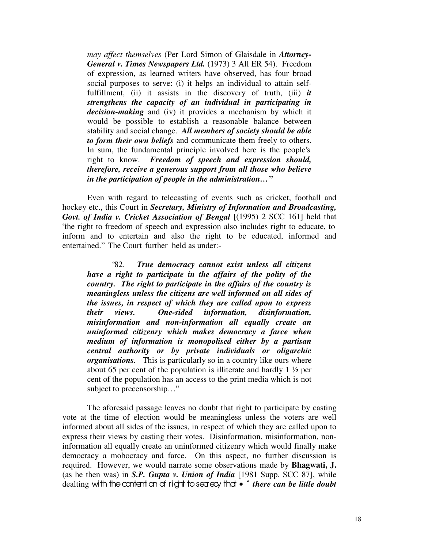*may affect themselves* (Per Lord Simon of Glaisdale in *Attorney-General v. Times Newspapers Ltd.* (1973) 3 All ER 54). Freedom of expression, as learned writers have observed, has four broad social purposes to serve: (i) it helps an individual to attain selffulfillment, (ii) it assists in the discovery of truth, (iii) *it strengthens the capacity of an individual in participating in decision-making* and (iv) it provides a mechanism by which it would be possible to establish a reasonable balance between stability and social change. *All members of society should be able to form their own beliefs* and communicate them freely to others. In sum, the fundamental principle involved here is the people's right to know. *Freedom of speech and expression should, therefore, receive a generous support from all those who believe in the participation of people in the administration…"*

Even with regard to telecasting of events such as cricket, football and hockey etc., this Court in *Secretary, Ministry of Information and Broadcasting, Govt. of India v. Cricket Association of Bengal* [(1995) 2 SCC 161] held that "the right to freedom of speech and expression also includes right to educate, to inform and to entertain and also the right to be educated, informed and entertained." The Court further held as under:-

"82. *True democracy cannot exist unless all citizens have a right to participate in the affairs of the polity of the country. The right to participate in the affairs of the country is meaningless unless the citizens are well informed on all sides of the issues, in respect of which they are called upon to express their views. One-sided information, disinformation, misinformation and non-information all equally create an uninformed citizenry which makes democracy a farce when medium of information is monopolised either by a partisan central authority or by private individuals or oligarchic organisations.* This is particularly so in a country like ours where about 65 per cent of the population is illiterate and hardly 1 ½ per cent of the population has an access to the print media which is not subject to precensorship…."

The aforesaid passage leaves no doubt that right to participate by casting vote at the time of election would be meaningless unless the voters are well informed about all sides of the issues, in respect of which they are called upon to express their views by casting their votes. Disinformation, misinformation, noninformation all equally create an uninformed citizenry which would finally make democracy a mobocracy and farce. On this aspect, no further discussion is required. However, we would narrate some observations made by **Bhagwati, J.** (as he then was) in *S.P. Gupta v. Union of India* [1981 Supp. SCC 87], while dealting with the contention of right to secrecy that • " *there can be little doubt*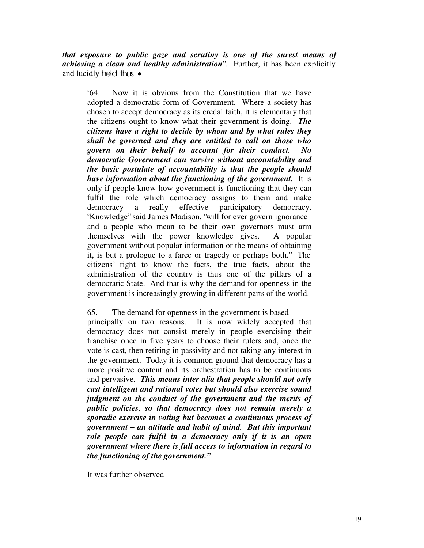*that exposure to public gaze and scrutiny is one of the surest means of achieving a clean and healthy administration*". Further, it has been explicitly and lucidly held thus: •

"64. Now it is obvious from the Constitution that we have adopted a democratic form of Government. Where a society has chosen to accept democracy as its credal faith, it is elementary that the citizens ought to know what their government is doing. *The citizens have a right to decide by whom and by what rules they shall be governed and they are entitled to call on those who govern on their behalf to account for their conduct. No democratic Government can survive without accountability and the basic postulate of accountability is that the people should have information about the functioning of the government.* It is only if people know how government is functioning that they can fulfil the role which democracy assigns to them and make democracy a really effective participatory democracy. "Knowledge" said James Madison, "will for ever govern ignorance and a people who mean to be their own governors must arm themselves with the power knowledge gives. A popular government without popular information or the means of obtaining it, is but a prologue to a farce or tragedy or perhaps both." The citizens' right to know the facts, the true facts, about the administration of the country is thus one of the pillars of a democratic State. And that is why the demand for openness in the government is increasingly growing in different parts of the world.

65. The demand for openness in the government is based principally on two reasons. It is now widely accepted that democracy does not consist merely in people exercising their franchise once in five years to choose their rulers and, once the vote is cast, then retiring in passivity and not taking any interest in the government. Today it is common ground that democracy has a more positive content and its orchestration has to be continuous and pervasive*. This means inter alia that people should not only cast intelligent and rational votes but should also exercise sound judgment on the conduct of the government and the merits of public policies, so that democracy does not remain merely a sporadic exercise in voting but becomes a continuous process of government – an attitude and habit of mind. But this important role people can fulfil in a democracy only if it is an open government where there is full access to information in regard to the functioning of the government."*

It was further observed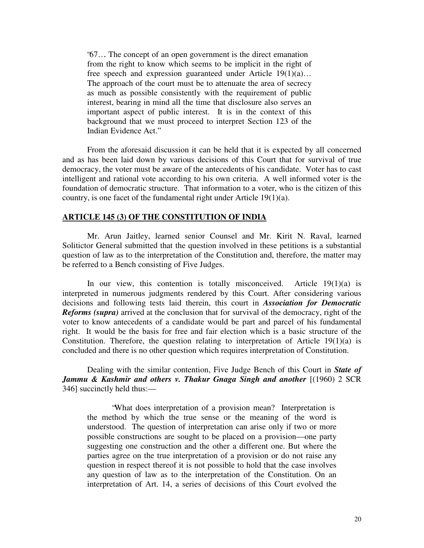"67…. The concept of an open government is the direct emanation from the right to know which seems to be implicit in the right of free speech and expression guaranteed under Article 19(1)(a)… The approach of the court must be to attenuate the area of secrecy as much as possible consistently with the requirement of public interest, bearing in mind all the time that disclosure also serves an important aspect of public interest. It is in the context of this background that we must proceed to interpret Section 123 of the Indian Evidence Act."

From the aforesaid discussion it can be held that it is expected by all concerned and as has been laid down by various decisions of this Court that for survival of true democracy, the voter must be aware of the antecedents of his candidate. Voter has to cast intelligent and rational vote according to his own criteria. A well informed voter is the foundation of democratic structure. That information to a voter, who is the citizen of this country, is one facet of the fundamental right under Article 19(1)(a).

## **ARTICLE 145 (3) OF THE CONSTITUTION OF INDIA**

Mr. Arun Jaitley, learned senior Counsel and Mr. Kirit N. Raval, learned Solitictor General submitted that the question involved in these petitions is a substantial question of law as to the interpretation of the Constitution and, therefore, the matter may be referred to a Bench consisting of Five Judges.

In our view, this contention is totally misconceived. Article  $19(1)(a)$  is interpreted in numerous judgments rendered by this Court. After considering various decisions and following tests laid therein, this court in *Association for Democratic Reforms (supra)* arrived at the conclusion that for survival of the democracy, right of the voter to know antecedents of a candidate would be part and parcel of his fundamental right. It would be the basis for free and fair election which is a basic structure of the Constitution. Therefore, the question relating to interpretation of Article  $19(1)(a)$  is concluded and there is no other question which requires interpretation of Constitution.

Dealing with the similar contention, Five Judge Bench of this Court in *State of Jammu & Kashmir and others v. Thakur Gnaga Singh and another* [(1960) 2 SCR 346] succinctly held thus:—

"What does interpretation of a provision mean? Interpretation is the method by which the true sense or the meaning of the word is understood. The question of interpretation can arise only if two or more possible constructions are sought to be placed on a provision—one party suggesting one construction and the other a different one. But where the parties agree on the true interpretation of a provision or do not raise any question in respect thereof it is not possible to hold that the case involves any question of law as to the interpretation of the Constitution. On an interpretation of Art. 14, a series of decisions of this Court evolved the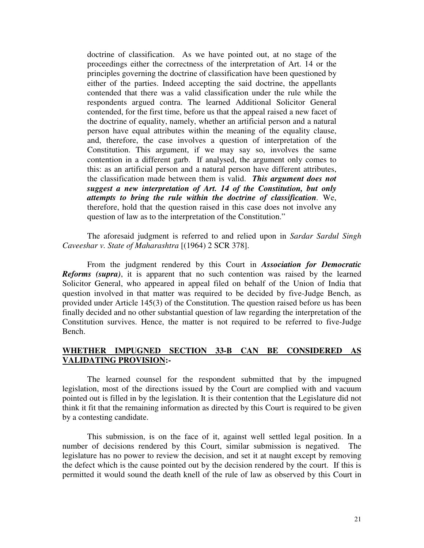doctrine of classification. As we have pointed out, at no stage of the proceedings either the correctness of the interpretation of Art. 14 or the principles governing the doctrine of classification have been questioned by either of the parties. Indeed accepting the said doctrine, the appellants contended that there was a valid classification under the rule while the respondents argued contra. The learned Additional Solicitor General contended, for the first time, before us that the appeal raised a new facet of the doctrine of equality, namely, whether an artificial person and a natural person have equal attributes within the meaning of the equality clause, and, therefore, the case involves a question of interpretation of the Constitution. This argument, if we may say so, involves the same contention in a different garb. If analysed, the argument only comes to this: as an artificial person and a natural person have different attributes, the classification made between them is valid. *This argument does not suggest a new interpretation of Art. 14 of the Constitution, but only attempts to bring the rule within the doctrine of classification.* We, therefore, hold that the question raised in this case does not involve any question of law as to the interpretation of the Constitution."

The aforesaid judgment is referred to and relied upon in *Sardar Sardul Singh Caveeshar v. State of Maharashtra* [(1964) 2 SCR 378].

From the judgment rendered by this Court in *Association for Democratic Reforms (supra)*, it is apparent that no such contention was raised by the learned Solicitor General, who appeared in appeal filed on behalf of the Union of India that question involved in that matter was required to be decided by five-Judge Bench, as provided under Article 145(3) of the Constitution. The question raised before us has been finally decided and no other substantial question of law regarding the interpretation of the Constitution survives. Hence, the matter is not required to be referred to five-Judge Bench.

## **WHETHER IMPUGNED SECTION 33-B CAN BE CONSIDERED AS VALIDATING PROVISION:-**

The learned counsel for the respondent submitted that by the impugned legislation, most of the directions issued by the Court are complied with and vacuum pointed out is filled in by the legislation. It is their contention that the Legislature did not think it fit that the remaining information as directed by this Court is required to be given by a contesting candidate.

This submission, is on the face of it, against well settled legal position. In a number of decisions rendered by this Court, similar submission is negatived. The legislature has no power to review the decision, and set it at naught except by removing the defect which is the cause pointed out by the decision rendered by the court. If this is permitted it would sound the death knell of the rule of law as observed by this Court in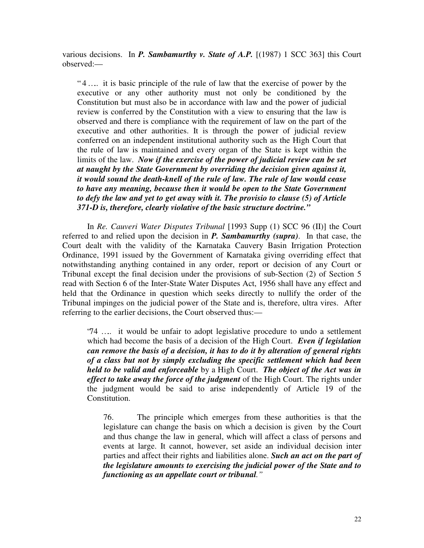various decisions. In *P. Sambamurthy v. State of A.P.* [(1987) 1 SCC 363] this Court observed:—

" 4 ….. it is basic principle of the rule of law that the exercise of power by the executive or any other authority must not only be conditioned by the Constitution but must also be in accordance with law and the power of judicial review is conferred by the Constitution with a view to ensuring that the law is observed and there is compliance with the requirement of law on the part of the executive and other authorities. It is through the power of judicial review conferred on an independent institutional authority such as the High Court that the rule of law is maintained and every organ of the State is kept within the limits of the law. *Now if the exercise of the power of judicial review can be set at naught by the State Government by overriding the decision given against it, it would sound the death-knell of the rule of law. The rule of law would cease to have any meaning, because then it would be open to the State Government to defy the law and yet to get away with it. The provisio to clause (5) of Article 371-D is, therefore, clearly violative of the basic structure doctrine."*

In *Re. Cauveri Water Disputes Tribunal* [1993 Supp (1) SCC 96 (II)] the Court referred to and relied upon the decision in *P. Sambamurthy (supra)*. In that case, the Court dealt with the validity of the Karnataka Cauvery Basin Irrigation Protection Ordinance, 1991 issued by the Government of Karnataka giving overriding effect that notwithstanding anything contained in any order, report or decision of any Court or Tribunal except the final decision under the provisions of sub-Section (2) of Section 5 read with Section 6 of the Inter-State Water Disputes Act, 1956 shall have any effect and held that the Ordinance in question which seeks directly to nullify the order of the Tribunal impinges on the judicial power of the State and is, therefore, ultra vires. After referring to the earlier decisions, the Court observed thus:—

"74 ….. it would be unfair to adopt legislative procedure to undo a settlement which had become the basis of a decision of the High Court. *Even if legislation can remove the basis of a decision, it has to do it by alteration of general rights of a class but not by simply excluding the specific settlement which had been held to be valid and enforceable* by a High Court. *The object of the Act was in effect to take away the force of the judgment* of the High Court. The rights under the judgment would be said to arise independently of Article 19 of the Constitution.

76. The principle which emerges from these authorities is that the legislature can change the basis on which a decision is given by the Court and thus change the law in general, which will affect a class of persons and events at large. It cannot, however, set aside an individual decision inter parties and affect their rights and liabilities alone. *Such an act on the part of the legislature amounts to exercising the judicial power of the State and to functioning as an appellate court or tribunal."*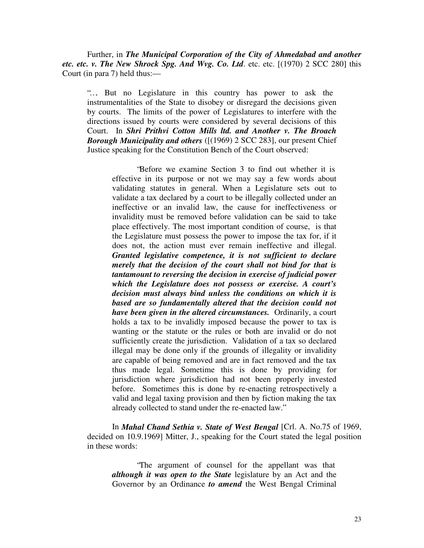Further, in *The Municipal Corporation of the City of Ahmedabad and another* etc. etc. v. The New Shrock Spg. And Wvg. Co. Ltd. etc. etc. [(1970) 2 SCC 280] this Court (in para 7) held thus:—

"…. But no Legislature in this country has power to ask the instrumentalities of the State to disobey or disregard the decisions given by courts. The limits of the power of Legislatures to interfere with the directions issued by courts were considered by several decisions of this Court. In *Shri Prithvi Cotton Mills ltd. and Another v. The Broach Borough Municipality and others* ([(1969) 2 SCC 283], our present Chief Justice speaking for the Constitution Bench of the Court observed:

"Before we examine Section 3 to find out whether it is effective in its purpose or not we may say a few words about validating statutes in general. When a Legislature sets out to validate a tax declared by a court to be illegally collected under an ineffective or an invalid law, the cause for ineffectiveness or invalidity must be removed before validation can be said to take place effectively. The most important condition of course, is that the Legislature must possess the power to impose the tax for, if it does not, the action must ever remain ineffective and illegal. *Granted legislative competence, it is not sufficient to declare merely that the decision of the court shall not bind for that is tantamount to reversing the decision in exercise of judicial power which the Legislature does not possess or exercise. A court's decision must always bind unless the conditions on which it is based are so fundamentally altered that the decision could not have been given in the altered circumstances.* Ordinarily, a court holds a tax to be invalidly imposed because the power to tax is wanting or the statute or the rules or both are invalid or do not sufficiently create the jurisdiction. Validation of a tax so declared illegal may be done only if the grounds of illegality or invalidity are capable of being removed and are in fact removed and the tax thus made legal. Sometime this is done by providing for jurisdiction where jurisdiction had not been properly invested before. Sometimes this is done by re-enacting retrospectively a valid and legal taxing provision and then by fiction making the tax already collected to stand under the re-enacted law."

In *Mahal Chand Sethia v. State of West Bengal* [Crl. A. No.75 of 1969, decided on 10.9.1969] Mitter, J., speaking for the Court stated the legal position in these words:

"The argument of counsel for the appellant was that *although it was open to the State* legislature by an Act and the Governor by an Ordinance *to amend* the West Bengal Criminal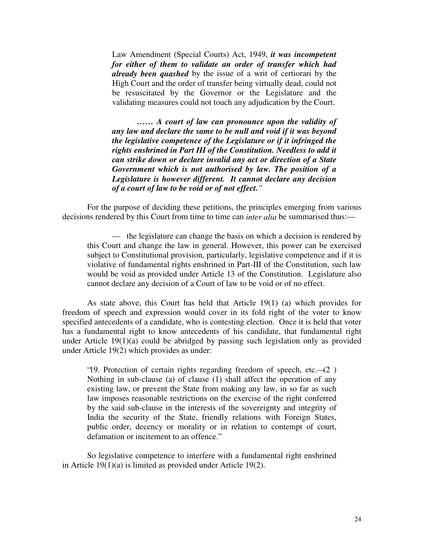Law Amendment (Special Courts) Act, 1949, *it was incompetent for either of them to validate an order of transfer which had already been quashed* by the issue of a writ of certiorari by the High Court and the order of transfer being virtually dead, could not be resuscitated by the Governor or the Legislature and the validating measures could not touch any adjudication by the Court.

*…… A court of law can pronounce upon the validity of any law and declare the same to be null and void if it was beyond the legislative competence of the Legislature or if it infringed the rights enshrined in Part III of the Constitution. Needless to add it can strike down or declare invalid any act or direction of a State Government which is not authorised by law. The position of a Legislature is however different. It cannot declare any decision of a court of law to be void or of not effect."*

For the purpose of deciding these petitions, the principles emerging from various decisions rendered by this Court from time to time can *inter alia* be summarised thus:—

— the legislature can change the basis on which a decision is rendered by this Court and change the law in general. However, this power can be exercised subject to Constitutional provision, particularly, legislative competence and if it is violative of fundamental rights enshrined in Part-III of the Constitution, such law would be void as provided under Article 13 of the Constitution. Legislature also cannot declare any decision of a Court of law to be void or of no effect.

As state above, this Court has held that Article 19(1) (a) which provides for freedom of speech and expression would cover in its fold right of the voter to know specified antecedents of a candidate, who is contesting election. Once it is held that voter has a fundamental right to know antecedents of his candidate, that fundamental right under Article 19(1)(a) could be abridged by passing such legislation only as provided under Article 19(2) which provides as under:

"19. Protection of certain rights regarding freedom of speech, etc.— $(2)$ ) Nothing in sub-clause (a) of clause (1) shall affect the operation of any existing law, or prevent the State from making any law, in so far as such law imposes reasonable restrictions on the exercise of the right conferred by the said sub-clause in the interests of the sovereignty and integrity of India the security of the State, friendly relations with Foreign States, public order, decency or morality or in relation to contempt of court, defamation or incitement to an offence."

So legislative competence to interfere with a fundamental right enshrined in Article 19(1)(a) is limited as provided under Article 19(2).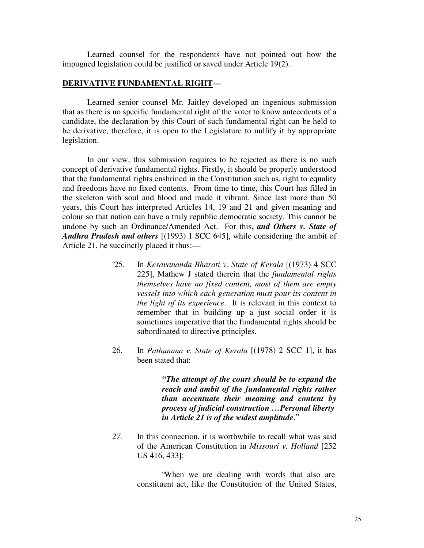Learned counsel for the respondents have not pointed out how the impugned legislation could be justified or saved under Article 19(2).

#### **DERIVATIVE FUNDAMENTAL RIGHT—**

Learned senior counsel Mr. Jaitley developed an ingenious submission that as there is no specific fundamental right of the voter to know antecedents of a candidate, the declaration by this Court of such fundamental right can be held to be derivative, therefore, it is open to the Legislature to nullify it by appropriate legislation.

In our view, this submission requires to be rejected as there is no such concept of derivative fundamental rights. Firstly, it should be properly understood that the fundamental rights enshrined in the Constitution such as, right to equality and freedoms have no fixed contents. From time to time, this Court has filled in the skeleton with soul and blood and made it vibrant. Since last more than 50 years, this Court has interpreted Articles 14, 19 and 21 and given meaning and colour so that nation can have a truly republic democratic society. This cannot be undone by such an Ordinance/Amended Act. For this**,** *and Others v. State of Andhra Pradesh and others* [(1993) 1 SCC 645], while considering the ambit of Article 21, he succinctly placed it thus:—

- "25. In *Kesavananda Bharati v. State of Kerala* [(1973) 4 SCC 225], Mathew J stated therein that the *fundamental rights themselves have no fixed content, most of them are empty vessels into which each generation must pour its content in the light of its experience*. It is relevant in this context to remember that in building up a just social order it is sometimes imperative that the fundamental rights should be subordinated to directive principles.
- 26. In *Pathumma v. State of Kerala* [(1978) 2 SCC 1], it has been stated that:

*"The attempt of the court should be to expand the reach and ambit of the fundamental rights rather than accentuate their meaning and content by process of judicial construction … Personal liberty in Article 21 is of the widest amplitude*."

*27.* In this connection, it is worthwhile to recall what was said of the American Constitution in *Missouri v. Holland* [252 US 416, 433]:

> "When we are dealing with words that also are constituent act, like the Constitution of the United States,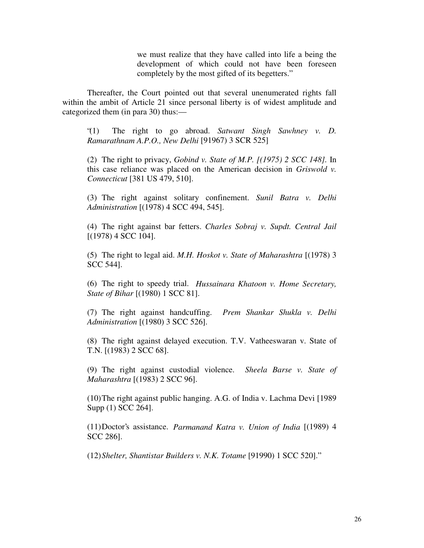we must realize that they have called into life a being the development of which could not have been foreseen completely by the most gifted of its begetters."

Thereafter, the Court pointed out that several unenumerated rights fall within the ambit of Article 21 since personal liberty is of widest amplitude and categorized them (in para 30) thus:—

"(1) The right to go abroad. *Satwant Singh Sawhney v. D. Ramarathnam A.P.O., New Delhi* [91967) 3 SCR 525]

(2) The right to privacy, *Gobind v. State of M.P. [(1975) 2 SCC 148].* In this case reliance was placed on the American decision in *Griswold v. Connecticut* [381 US 479, 510].

(3) The right against solitary confinement. *Sunil Batra v. Delhi Administration* [(1978) 4 SCC 494, 545].

(4) The right against bar fetters. *Charles Sobraj v. Supdt. Central Jail* [(1978) 4 SCC 104].

(5) The right to legal aid. *M.H. Hoskot v. State of Maharashtra* [(1978) 3 SCC 544].

(6) The right to speedy trial. *Hussainara Khatoon v. Home Secretary, State of Bihar* [(1980) 1 SCC 81].

(7) The right against handcuffing. *Prem Shankar Shukla v. Delhi Administration* [(1980) 3 SCC 526].

(8) The right against delayed execution. T.V. Vatheeswaran v. State of T.N. [(1983) 2 SCC 68].

(9) The right against custodial violence. *Sheela Barse v. State of Maharashtra* [(1983) 2 SCC 96].

(10)The right against public hanging. A.G. of India v. Lachma Devi [1989 Supp (1) SCC 264].

(11)Doctor's assistance. *Parmanand Katra v. Union of India* [(1989) 4 SCC 286].

(12)*Shelter, Shantistar Builders v. N.K. Totame* [91990) 1 SCC 520]."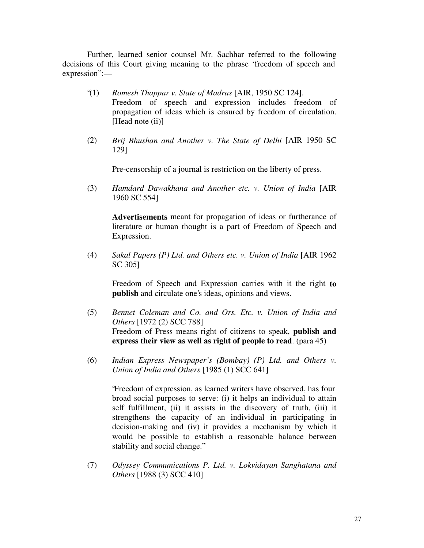Further, learned senior counsel Mr. Sachhar referred to the following decisions of this Court giving meaning to the phrase "freedom of speech and expression":—

- "(1) *Romesh Thappar v. State of Madras* [AIR, 1950 SC 124]. Freedom of speech and expression includes freedom of propagation of ideas which is ensured by freedom of circulation. [Head note (ii)]
- (2) *Brij Bhushan and Another v. The State of Delhi* [AIR 1950 SC 129]

Pre-censorship of a journal is restriction on the liberty of press.

(3) *Hamdard Dawakhana and Another etc. v. Union of India* [AIR 1960 SC 554]

**Advertisements** meant for propagation of ideas or furtherance of literature or human thought is a part of Freedom of Speech and Expression.

(4) *Sakal Papers (P) Ltd. and Others etc. v. Union of India* [AIR 1962 SC 305]

Freedom of Speech and Expression carries with it the right **to publish** and circulate one's ideas, opinions and views.

- (5) *Bennet Coleman and Co. and Ors. Etc. v. Union of India and Others* [1972 (2) SCC 788] Freedom of Press means right of citizens to speak, **publish and express their view as well as right of people to read**. (para 45)
- (6) *Indian Express Newspaper's (Bombay) (P) Ltd. and Others v. Union of India and Others* [1985 (1) SCC 641]

"Freedom of expression, as learned writers have observed, has four broad social purposes to serve: (i) it helps an individual to attain self fulfillment, (ii) it assists in the discovery of truth, (iii) it strengthens the capacity of an individual in participating in decision-making and (iv) it provides a mechanism by which it would be possible to establish a reasonable balance between stability and social change."

(7) *Odyssey Communications P. Ltd. v. Lokvidayan Sanghatana and Others* [1988 (3) SCC 410]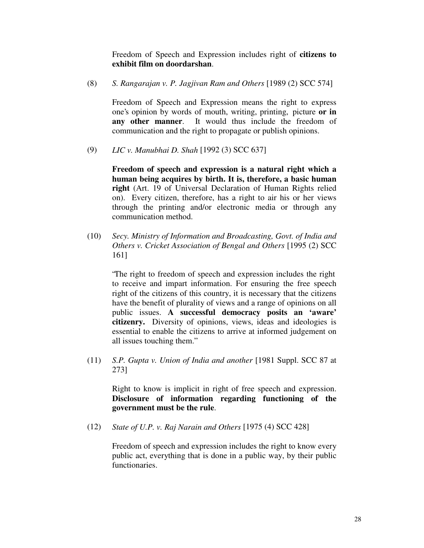Freedom of Speech and Expression includes right of **citizens to exhibit film on doordarshan**.

(8) *S. Rangarajan v. P. Jagjivan Ram and Others* [1989 (2) SCC 574]

Freedom of Speech and Expression means the right to express one's opinion by words of mouth, writing, printing, picture **or in any other manner**. It would thus include the freedom of communication and the right to propagate or publish opinions.

(9) *LIC v. Manubhai D. Shah* [1992 (3) SCC 637]

**Freedom of speech and expression is a natural right which a human being acquires by birth. It is, therefore, a basic human right** (Art. 19 of Universal Declaration of Human Rights relied on). Every citizen, therefore, has a right to air his or her views through the printing and/or electronic media or through any communication method.

(10) *Secy. Ministry of Information and Broadcasting, Govt. of India and Others v. Cricket Association of Bengal and Others* [1995 (2) SCC 161]

"The right to freedom of speech and expression includes the right to receive and impart information. For ensuring the free speech right of the citizens of this country, it is necessary that the citizens have the benefit of plurality of views and a range of opinions on all public issues. **A successful democracy posits an 'aware' citizenry.** Diversity of opinions, views, ideas and ideologies is essential to enable the citizens to arrive at informed judgement on all issues touching them."

(11) *S.P. Gupta v. Union of India and another* [1981 Suppl. SCC 87 at 273]

Right to know is implicit in right of free speech and expression. **Disclosure of information regarding functioning of the government must be the rule**.

(12) *State of U.P. v. Raj Narain and Others* [1975 (4) SCC 428]

Freedom of speech and expression includes the right to know every public act, everything that is done in a public way, by their public functionaries.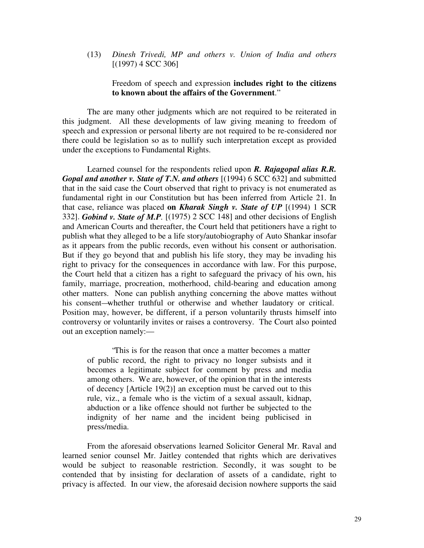(13) *Dinesh Trivedi, MP and others v. Union of India and others*  $[(1997)$  4 SCC 306]

## Freedom of speech and expression **includes right to the citizens to known about the affairs of the Government**."

The are many other judgments which are not required to be reiterated in this judgment. All these developments of law giving meaning to freedom of speech and expression or personal liberty are not required to be re-considered nor there could be legislation so as to nullify such interpretation except as provided under the exceptions to Fundamental Rights.

Learned counsel for the respondents relied upon *R. Rajagopal alias R.R. Gopal and another v. State of T.N. and others* [(1994) 6 SCC 632] and submitted that in the said case the Court observed that right to privacy is not enumerated as fundamental right in our Constitution but has been inferred from Article 21. In that case, reliance was placed **on** *Kharak Singh v. State of UP* [(1994) 1 SCR 332]. *Gobind v. State of M.P.* [(1975) 2 SCC 148] and other decisions of English and American Courts and thereafter, the Court held that petitioners have a right to publish what they alleged to be a life story/autobiography of Auto Shankar insofar as it appears from the public records, even without his consent or authorisation. But if they go beyond that and publish his life story, they may be invading his right to privacy for the consequences in accordance with law. For this purpose, the Court held that a citizen has a right to safeguard the privacy of his own, his family, marriage, procreation, motherhood, child-bearing and education among other matters. None can publish anything concerning the above mattes without his consent—whether truthful or otherwise and whether laudatory or critical. Position may, however, be different, if a person voluntarily thrusts himself into controversy or voluntarily invites or raises a controversy. The Court also pointed out an exception namely:—

"This is for the reason that once a matter becomes a matter of public record, the right to privacy no longer subsists and it becomes a legitimate subject for comment by press and media among others. We are, however, of the opinion that in the interests of decency [Article 19(2)] an exception must be carved out to this rule, viz., a female who is the victim of a sexual assault, kidnap, abduction or a like offence should not further be subjected to the indignity of her name and the incident being publicised in press/media.

From the aforesaid observations learned Solicitor General Mr. Raval and learned senior counsel Mr. Jaitley contended that rights which are derivatives would be subject to reasonable restriction. Secondly, it was sought to be contended that by insisting for declaration of assets of a candidate, right to privacy is affected. In our view, the aforesaid decision nowhere supports the said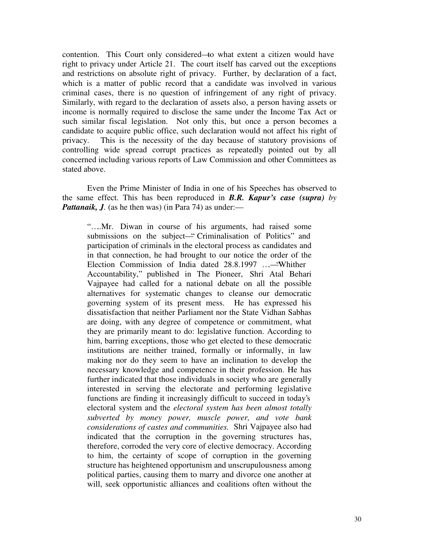contention. This Court only considered—to what extent a citizen would have right to privacy under Article 21. The court itself has carved out the exceptions and restrictions on absolute right of privacy. Further, by declaration of a fact, which is a matter of public record that a candidate was involved in various criminal cases, there is no question of infringement of any right of privacy. Similarly, with regard to the declaration of assets also, a person having assets or income is normally required to disclose the same under the Income Tax Act or such similar fiscal legislation. Not only this, but once a person becomes a candidate to acquire public office, such declaration would not affect his right of privacy. This is the necessity of the day because of statutory provisions of controlling wide spread corrupt practices as repeatedly pointed out by all concerned including various reports of Law Commission and other Committees as stated above.

Even the Prime Minister of India in one of his Speeches has observed to the same effect. This has been reproduced in *B.R. Kapur's case (supra) by Pattanaik, J.* (as he then was) (in Para 74) as under:—

"....Mr. Diwan in course of his arguments, had raised some submissions on the subject—" Criminalisation of Politics" and participation of criminals in the electoral process as candidates and in that connection, he had brought to our notice the order of the Election Commission of India dated 28.8.1997 …— "Whither" Accountability," published in The Pioneer, Shri Atal Behari Vajpayee had called for a national debate on all the possible alternatives for systematic changes to cleanse our democratic governing system of its present mess. He has expressed his dissatisfaction that neither Parliament nor the State Vidhan Sabhas are doing, with any degree of competence or commitment, what they are primarily meant to do: legislative function. According to him, barring exceptions, those who get elected to these democratic institutions are neither trained, formally or informally, in law making nor do they seem to have an inclination to develop the necessary knowledge and competence in their profession. He has further indicated that those individuals in society who are generally interested in serving the electorate and performing legislative functions are finding it increasingly difficult to succeed in today's electoral system and the *electoral system has been almost totally subverted by money power, muscle power, and vote bank considerations of castes and communities.* Shri Vajpayee also had indicated that the corruption in the governing structures has, therefore, corroded the very core of elective democracy. According to him, the certainty of scope of corruption in the governing structure has heightened opportunism and unscrupulousness among political parties, causing them to marry and divorce one another at will, seek opportunistic alliances and coalitions often without the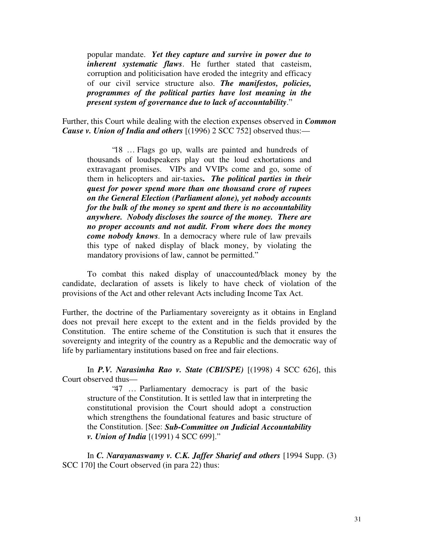popular mandate. *Yet they capture and survive in power due to inherent systematic flaws*. He further stated that casteism, corruption and politicisation have eroded the integrity and efficacy of our civil service structure also. *The manifestos, policies, programmes of the political parties have lost meaning in the present system of governance due to lack of accountability*."

Further, this Court while dealing with the election expenses observed in *Common Cause v. Union of India and others* [(1996) 2 SCC 752] observed thus:—

"18 … Flags go up, walls are painted and hundreds of thousands of loudspeakers play out the loud exhortations and extravagant promises. VIPs and VVIPs come and go, some of them in helicopters and air-taxies**.** *The political parties in their quest for power spend more than one thousand crore of rupees on the General Election (Parliament alone), yet nobody accounts for the bulk of the money so spent and there is no accountability anywhere. Nobody discloses the source of the money. There are no proper accounts and not audit. From where does the money come nobody knows.* In a democracy where rule of law prevails this type of naked display of black money, by violating the mandatory provisions of law, cannot be permitted."

To combat this naked display of unaccounted/black money by the candidate, declaration of assets is likely to have check of violation of the provisions of the Act and other relevant Acts including Income Tax Act.

Further, the doctrine of the Parliamentary sovereignty as it obtains in England does not prevail here except to the extent and in the fields provided by the Constitution. The entire scheme of the Constitution is such that it ensures the sovereignty and integrity of the country as a Republic and the democratic way of life by parliamentary institutions based on free and fair elections.

In *P.V. Narasimha Rao v. State (CBI/SPE)* [(1998) 4 SCC 626], this Court observed thus—

"47 … Parliamentary democracy is part of the basic structure of the Constitution. It is settled law that in interpreting the constitutional provision the Court should adopt a construction which strengthens the foundational features and basic structure of the Constitution. [See: *Sub-Committee on Judicial Accountability v. Union of India* [(1991) 4 SCC 699]."

In *C. Narayanaswamy v. C.K. Jaffer Sharief and others* [1994 Supp. (3) SCC 170] the Court observed (in para 22) thus: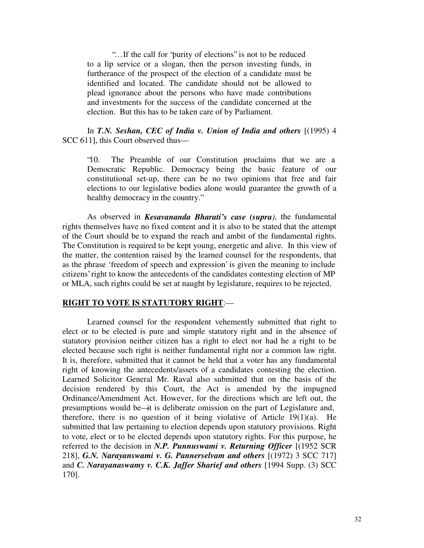"… If the call for "purity of elections" is not to be reduced to a lip service or a slogan, then the person investing funds, in furtherance of the prospect of the election of a candidate must be identified and located. The candidate should not be allowed to plead ignorance about the persons who have made contributions and investments for the success of the candidate concerned at the election. But this has to be taken care of by Parliament.

In *T.N. Seshan, CEC of India v. Union of India and others* [(1995) 4 SCC 611], this Court observed thus—

"10. The Preamble of our Constitution proclaims that we are a Democratic Republic. Democracy being the basic feature of our constitutional set-up, there can be no two opinions that free and fair elections to our legislative bodies alone would guarantee the growth of a healthy democracy in the country."

As observed in *Kesavananda Bharati's case (supra)*, the fundamental rights themselves have no fixed content and it is also to be stated that the attempt of the Court should be to expand the reach and ambit of the fundamental rights. The Constitution is required to be kept young, energetic and alive. In this view of the matter, the contention raised by the learned counsel for the respondents, that as the phrase 'freedom of speech and expression' is given the meaning to include citizens' right to know the antecedents of the candidates contesting election of MP or MLA, such rights could be set at naught by legislature, requires to be rejected.

#### **RIGHT TO VOTE IS STATUTORY RIGHT**:—

Learned counsel for the respondent vehemently submitted that right to elect or to be elected is pure and simple statutory right and in the absence of statutory provision neither citizen has a right to elect nor had he a right to be elected because such right is neither fundamental right nor a common law right. It is, therefore, submitted that it cannot be held that a voter has any fundamental right of knowing the antecedents/assets of a candidates contesting the election. Learned Solicitor General Mr. Raval also submitted that on the basis of the decision rendered by this Court, the Act is amended by the impugned Ordinance/Amendment Act. However, for the directions which are left out, the presumptions would be—it is deliberate omission on the part of Legislature and, therefore, there is no question of it being violative of Article  $19(1)(a)$ . He submitted that law pertaining to election depends upon statutory provisions. Right to vote, elect or to be elected depends upon statutory rights. For this purpose, he referred to the decision in *N.P. Punnuswami v. Returning Officer* [(1952 SCR 218], *G.N. Narayanswami v. G. Pannerselvam and others* [(1972) 3 SCC 717] and *C. Narayanaswamy v. C.K. Jaffer Sharief and others* [1994 Supp. (3) SCC 170].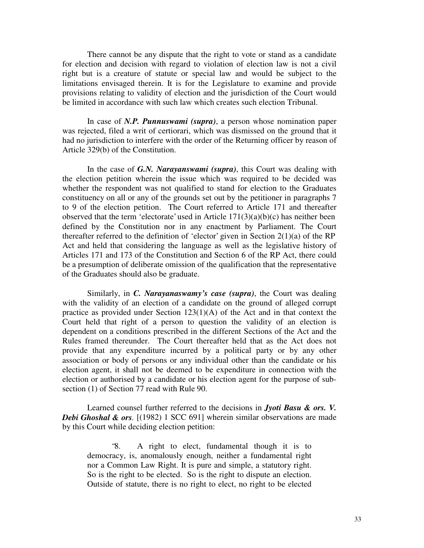There cannot be any dispute that the right to vote or stand as a candidate for election and decision with regard to violation of election law is not a civil right but is a creature of statute or special law and would be subject to the limitations envisaged therein. It is for the Legislature to examine and provide provisions relating to validity of election and the jurisdiction of the Court would be limited in accordance with such law which creates such election Tribunal.

In case of *N.P. Punnuswami (supra)*, a person whose nomination paper was rejected, filed a writ of certiorari, which was dismissed on the ground that it had no jurisdiction to interfere with the order of the Returning officer by reason of Article 329(b) of the Constitution.

In the case of *G.N. Narayanswami (supra)*, this Court was dealing with the election petition wherein the issue which was required to be decided was whether the respondent was not qualified to stand for election to the Graduates constituency on all or any of the grounds set out by the petitioner in paragraphs 7 to 9 of the election petition. The Court referred to Article 171 and thereafter observed that the term 'electorate' used in Article  $171(3)(a)(b)(c)$  has neither been defined by the Constitution nor in any enactment by Parliament. The Court thereafter referred to the definition of 'elector' given in Section  $2(1)(a)$  of the RP Act and held that considering the language as well as the legislative history of Articles 171 and 173 of the Constitution and Section 6 of the RP Act, there could be a presumption of deliberate omission of the qualification that the representative of the Graduates should also be graduate.

Similarly, in *C. Narayanaswamy's case (supra)*, the Court was dealing with the validity of an election of a candidate on the ground of alleged corrupt practice as provided under Section 123(1)(A) of the Act and in that context the Court held that right of a person to question the validity of an election is dependent on a conditions prescribed in the different Sections of the Act and the Rules framed thereunder. The Court thereafter held that as the Act does not provide that any expenditure incurred by a political party or by any other association or body of persons or any individual other than the candidate or his election agent, it shall not be deemed to be expenditure in connection with the election or authorised by a candidate or his election agent for the purpose of subsection (1) of Section 77 read with Rule 90.

Learned counsel further referred to the decisions in *Jyoti Basu & ors. V. Debi Ghoshal & ors.* [(1982) 1 SCC 691] wherein similar observations are made by this Court while deciding election petition:

"8. A right to elect, fundamental though it is to democracy, is, anomalously enough, neither a fundamental right nor a Common Law Right. It is pure and simple, a statutory right. So is the right to be elected. So is the right to dispute an election. Outside of statute, there is no right to elect, no right to be elected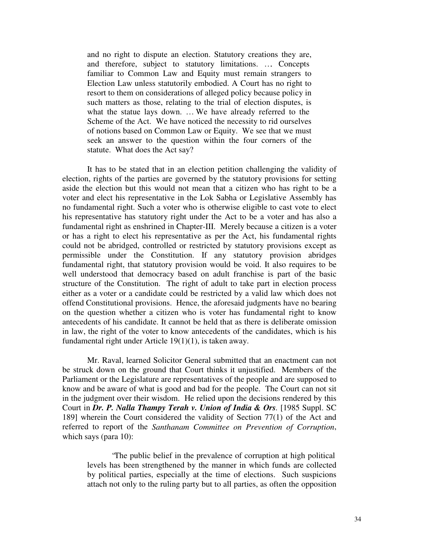and no right to dispute an election. Statutory creations they are, and therefore, subject to statutory limitations. …. Concepts familiar to Common Law and Equity must remain strangers to Election Law unless statutorily embodied. A Court has no right to resort to them on considerations of alleged policy because policy in such matters as those, relating to the trial of election disputes, is what the statue lays down. … We have already referred to the Scheme of the Act. We have noticed the necessity to rid ourselves of notions based on Common Law or Equity. We see that we must seek an answer to the question within the four corners of the statute. What does the Act say?

It has to be stated that in an election petition challenging the validity of election, rights of the parties are governed by the statutory provisions for setting aside the election but this would not mean that a citizen who has right to be a voter and elect his representative in the Lok Sabha or Legislative Assembly has no fundamental right. Such a voter who is otherwise eligible to cast vote to elect his representative has statutory right under the Act to be a voter and has also a fundamental right as enshrined in Chapter-III. Merely because a citizen is a voter or has a right to elect his representative as per the Act, his fundamental rights could not be abridged, controlled or restricted by statutory provisions except as permissible under the Constitution. If any statutory provision abridges fundamental right, that statutory provision would be void. It also requires to be well understood that democracy based on adult franchise is part of the basic structure of the Constitution. The right of adult to take part in election process either as a voter or a candidate could be restricted by a valid law which does not offend Constitutional provisions. Hence, the aforesaid judgments have no bearing on the question whether a citizen who is voter has fundamental right to know antecedents of his candidate. It cannot be held that as there is deliberate omission in law, the right of the voter to know antecedents of the candidates, which is his fundamental right under Article 19(1)(1), is taken away.

Mr. Raval, learned Solicitor General submitted that an enactment can not be struck down on the ground that Court thinks it unjustified. Members of the Parliament or the Legislature are representatives of the people and are supposed to know and be aware of what is good and bad for the people. The Court can not sit in the judgment over their wisdom. He relied upon the decisions rendered by this Court in *Dr. P. Nalla Thampy Terah v. Union of India & Ors.* [1985 Suppl. SC 189] wherein the Court considered the validity of Section 77(1) of the Act and referred to report of the *Santhanam Committee on Prevention of Corruption*, which says (para 10):

"The public belief in the prevalence of corruption at high political levels has been strengthened by the manner in which funds are collected by political parties, especially at the time of elections. Such suspicions attach not only to the ruling party but to all parties, as often the opposition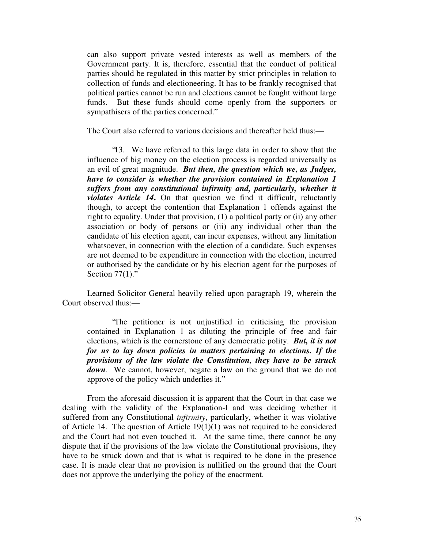can also support private vested interests as well as members of the Government party. It is, therefore, essential that the conduct of political parties should be regulated in this matter by strict principles in relation to collection of funds and electioneering. It has to be frankly recognised that political parties cannot be run and elections cannot be fought without large funds. But these funds should come openly from the supporters or sympathisers of the parties concerned."

The Court also referred to various decisions and thereafter held thus:—

"13. We have referred to this large data in order to show that the influence of big money on the election process is regarded universally as an evil of great magnitude. *But then, the question which we, as Judges, have to consider is whether the provision contained in Explanation 1 suffers from any constitutional infirmity and, particularly, whether it violates Article 14***.** On that question we find it difficult, reluctantly though, to accept the contention that Explanation 1 offends against the right to equality. Under that provision, (1) a political party or (ii) any other association or body of persons or (iii) any individual other than the candidate of his election agent, can incur expenses, without any limitation whatsoever, in connection with the election of a candidate. Such expenses are not deemed to be expenditure in connection with the election, incurred or authorised by the candidate or by his election agent for the purposes of Section  $77(1)$ ."

Learned Solicitor General heavily relied upon paragraph 19, wherein the Court observed thus:—

"The petitioner is not unjustified in criticising the provision contained in Explanation 1 as diluting the principle of free and fair elections, which is the cornerstone of any democratic polity.*But, it is not for us to lay down policies in matters pertaining to elections. If the provisions of the law violate the Constitution, they have to be struck* down. We cannot, however, negate a law on the ground that we do not approve of the policy which underlies it."

From the aforesaid discussion it is apparent that the Court in that case we dealing with the validity of the Explanation-I and was deciding whether it suffered from any Constitutional *infirmity*, particularly, whether it was violative of Article 14. The question of Article 19(1)(1) was not required to be considered and the Court had not even touched it. At the same time, there cannot be any dispute that if the provisions of the law violate the Constitutional provisions, they have to be struck down and that is what is required to be done in the presence case. It is made clear that no provision is nullified on the ground that the Court does not approve the underlying the policy of the enactment.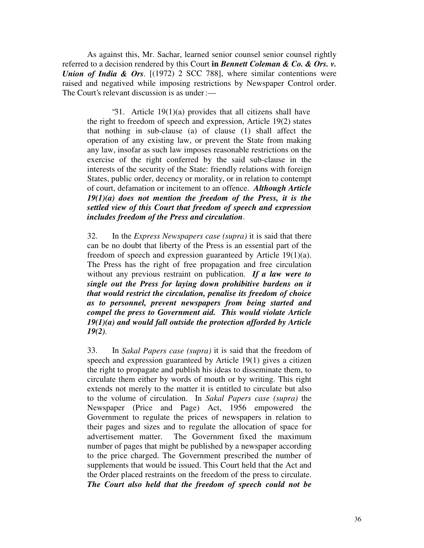As against this, Mr. Sachar, learned senior counsel senior counsel rightly referred to a decision rendered by this Court **in** *Bennett Coleman & Co. & Ors. v. Union of India & Ors.* [(1972) 2 SCC 788], where similar contentions were raised and negatived while imposing restrictions by Newspaper Control order. The Court's relevant discussion is as under:—

"31. Article 19(1)(a) provides that all citizens shall have the right to freedom of speech and expression, Article 19(2) states that nothing in sub-clause (a) of clause (1) shall affect the operation of any existing law, or prevent the State from making any law, insofar as such law imposes reasonable restrictions on the exercise of the right conferred by the said sub-clause in the interests of the security of the State: friendly relations with foreign States, public order, decency or morality, or in relation to contempt of court, defamation or incitement to an offence. *Although Article 19(1)(a) does not mention the freedom of the Press, it is the settled view of this Court that freedom of speech and expression includes freedom of the Press and circulation*.

32. In the *Express Newspapers case (supra)* it is said that there can be no doubt that liberty of the Press is an essential part of the freedom of speech and expression guaranteed by Article 19(1)(a). The Press has the right of free propagation and free circulation without any previous restraint on publication. *If a law were to single out the Press for laying down prohibitive burdens on it that would restrict the circulation, penalise its freedom of choice as to personnel, prevent newspapers from being started and compel the press to Government aid. This would violate Article 19(1)(a) and would fall outside the protection afforded by Article 19(2).*

33. In *Sakal Papers case (supra)* it is said that the freedom of speech and expression guaranteed by Article 19(1) gives a citizen the right to propagate and publish his ideas to disseminate them, to circulate them either by words of mouth or by writing. This right extends not merely to the matter it is entitled to circulate but also to the volume of circulation. In *Sakal Papers case (supra)* the Newspaper (Price and Page) Act, 1956 empowered the Government to regulate the prices of newspapers in relation to their pages and sizes and to regulate the allocation of space for advertisement matter. The Government fixed the maximum number of pages that might be published by a newspaper according to the price charged. The Government prescribed the number of supplements that would be issued. This Court held that the Act and the Order placed restraints on the freedom of the press to circulate. *The Court also held that the freedom of speech could not be*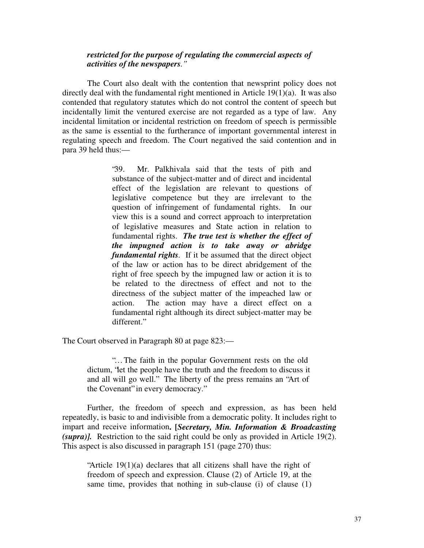## *restricted for the purpose of regulating the commercial aspects of activities of the newspapers."*

The Court also dealt with the contention that newsprint policy does not directly deal with the fundamental right mentioned in Article 19(1)(a). It was also contended that regulatory statutes which do not control the content of speech but incidentally limit the ventured exercise are not regarded as a type of law. Any incidental limitation or incidental restriction on freedom of speech is permissible as the same is essential to the furtherance of important governmental interest in regulating speech and freedom. The Court negatived the said contention and in para 39 held thus:—

> "39. Mr. Palkhivala said that the tests of pith and substance of the subject-matter and of direct and incidental effect of the legislation are relevant to questions of legislative competence but they are irrelevant to the question of infringement of fundamental rights. In our view this is a sound and correct approach to interpretation of legislative measures and State action in relation to fundamental rights. *The true test is whether the effect of the impugned action is to take away or abridge fundamental rights.* If it be assumed that the direct object of the law or action has to be direct abridgement of the right of free speech by the impugned law or action it is to be related to the directness of effect and not to the directness of the subject matter of the impeached law or action. The action may have a direct effect on a fundamental right although its direct subject-matter may be different."

The Court observed in Paragraph 80 at page 823:—

"… The faith in the popular Government rests on the old dictum, "let the people have the truth and the freedom to discuss it and all will go well." The liberty of the press remains an "Art of the Covenant" in every democracy."

Further, the freedom of speech and expression, as has been held repeatedly, is basic to and indivisible from a democratic polity. It includes right to impart and receive information**. [***Secretary, Min. Information & Broadcasting (supra)].* Restriction to the said right could be only as provided in Article 19(2). This aspect is also discussed in paragraph 151 (page 270) thus:

"Article 19(1)(a) declares that all citizens shall have the right of freedom of speech and expression. Clause (2) of Article 19, at the same time, provides that nothing in sub-clause (i) of clause (1)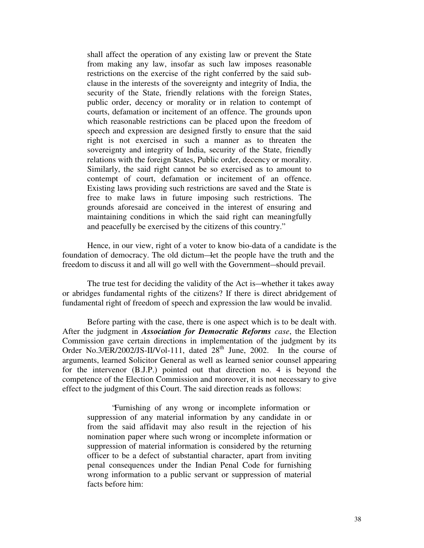shall affect the operation of any existing law or prevent the State from making any law, insofar as such law imposes reasonable restrictions on the exercise of the right conferred by the said subclause in the interests of the sovereignty and integrity of India, the security of the State, friendly relations with the foreign States, public order, decency or morality or in relation to contempt of courts, defamation or incitement of an offence. The grounds upon which reasonable restrictions can be placed upon the freedom of speech and expression are designed firstly to ensure that the said right is not exercised in such a manner as to threaten the sovereignty and integrity of India, security of the State, friendly relations with the foreign States, Public order, decency or morality. Similarly, the said right cannot be so exercised as to amount to contempt of court, defamation or incitement of an offence. Existing laws providing such restrictions are saved and the State is free to make laws in future imposing such restrictions. The grounds aforesaid are conceived in the interest of ensuring and maintaining conditions in which the said right can meaningfully and peacefully be exercised by the citizens of this country."

Hence, in our view, right of a voter to know bio-data of a candidate is the foundation of democracy. The old dictum—let the people have the truth and the freedom to discuss it and all will go well with the Government—should prevail.

The true test for deciding the validity of the Act is—whether it takes away or abridges fundamental rights of the citizens? If there is direct abridgement of fundamental right of freedom of speech and expression the law would be invalid.

Before parting with the case, there is one aspect which is to be dealt with. After the judgment in *Association for Democratic Reforms case*, the Election Commission gave certain directions in implementation of the judgment by its Order No.3/ER/2002/JS-II/Vol-111, dated  $28<sup>th</sup>$  June, 2002. In the course of arguments, learned Solicitor General as well as learned senior counsel appearing for the intervenor (B.J.P.) pointed out that direction no. 4 is beyond the competence of the Election Commission and moreover, it is not necessary to give effect to the judgment of this Court. The said direction reads as follows:

"Furnishing of any wrong or incomplete information or suppression of any material information by any candidate in or from the said affidavit may also result in the rejection of his nomination paper where such wrong or incomplete information or suppression of material information is considered by the returning officer to be a defect of substantial character, apart from inviting penal consequences under the Indian Penal Code for furnishing wrong information to a public servant or suppression of material facts before him: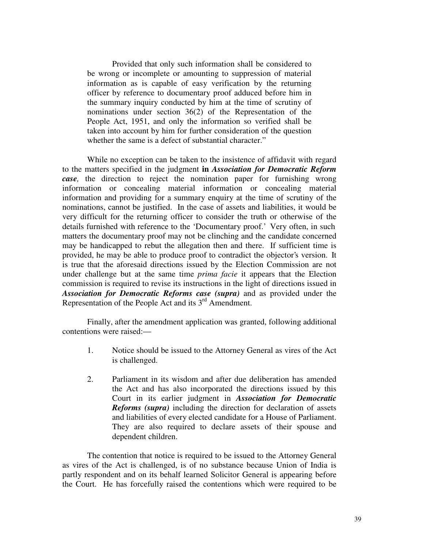Provided that only such information shall be considered to be wrong or incomplete or amounting to suppression of material information as is capable of easy verification by the returning officer by reference to documentary proof adduced before him in the summary inquiry conducted by him at the time of scrutiny of nominations under section 36(2) of the Representation of the People Act, 1951, and only the information so verified shall be taken into account by him for further consideration of the question whether the same is a defect of substantial character."

While no exception can be taken to the insistence of affidavit with regard to the matters specified in the judgment **in** *Association for Democratic Reform case,* the direction to reject the nomination paper for furnishing wrong information or concealing material information or concealing material information and providing for a summary enquiry at the time of scrutiny of the nominations, cannot be justified. In the case of assets and liabilities, it would be very difficult for the returning officer to consider the truth or otherwise of the details furnished with reference to the 'Documentary proof.' Very often, in such matters the documentary proof may not be clinching and the candidate concerned may be handicapped to rebut the allegation then and there. If sufficient time is provided, he may be able to produce proof to contradict the objector's version. It is true that the aforesaid directions issued by the Election Commission are not under challenge but at the same time *prima facie* it appears that the Election commission is required to revise its instructions in the light of directions issued in *Association for Democratic Reforms case (supra)* and as provided under the Representation of the People Act and its  $3<sup>rd</sup>$  Amendment.

Finally, after the amendment application was granted, following additional contentions were raised:—

- 1. Notice should be issued to the Attorney General as vires of the Act is challenged.
- 2. Parliament in its wisdom and after due deliberation has amended the Act and has also incorporated the directions issued by this Court in its earlier judgment in *Association for Democratic Reforms (supra)* including the direction for declaration of assets and liabilities of every elected candidate for a House of Parliament. They are also required to declare assets of their spouse and dependent children.

The contention that notice is required to be issued to the Attorney General as vires of the Act is challenged, is of no substance because Union of India is partly respondent and on its behalf learned Solicitor General is appearing before the Court. He has forcefully raised the contentions which were required to be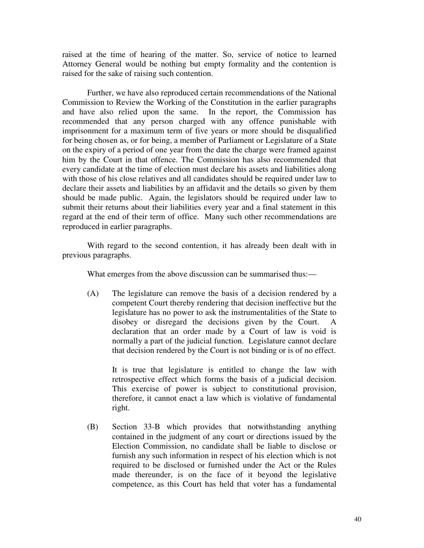raised at the time of hearing of the matter. So, service of notice to learned Attorney General would be nothing but empty formality and the contention is raised for the sake of raising such contention.

Further, we have also reproduced certain recommendations of the National Commission to Review the Working of the Constitution in the earlier paragraphs and have also relied upon the same. In the report, the Commission has recommended that any person charged with any offence punishable with imprisonment for a maximum term of five years or more should be disqualified for being chosen as, or for being, a member of Parliament or Legislature of a State on the expiry of a period of one year from the date the charge were framed against him by the Court in that offence. The Commission has also recommended that every candidate at the time of election must declare his assets and liabilities along with those of his close relatives and all candidates should be required under law to declare their assets and liabilities by an affidavit and the details so given by them should be made public. Again, the legislators should be required under law to submit their returns about their liabilities every year and a final statement in this regard at the end of their term of office. Many such other recommendations are reproduced in earlier paragraphs.

With regard to the second contention, it has already been dealt with in previous paragraphs.

What emerges from the above discussion can be summarised thus:—

(A) The legislature can remove the basis of a decision rendered by a competent Court thereby rendering that decision ineffective but the legislature has no power to ask the instrumentalities of the State to disobey or disregard the decisions given by the Court. A declaration that an order made by a Court of law is void is normally a part of the judicial function. Legislature cannot declare that decision rendered by the Court is not binding or is of no effect.

It is true that legislature is entitled to change the law with retrospective effect which forms the basis of a judicial decision. This exercise of power is subject to constitutional provision, therefore, it cannot enact a law which is violative of fundamental right.

(B) Section 33-B which provides that notwithstanding anything contained in the judgment of any court or directions issued by the Election Commission, no candidate shall be liable to disclose or furnish any such information in respect of his election which is not required to be disclosed or furnished under the Act or the Rules made thereunder, is on the face of it beyond the legislative competence, as this Court has held that voter has a fundamental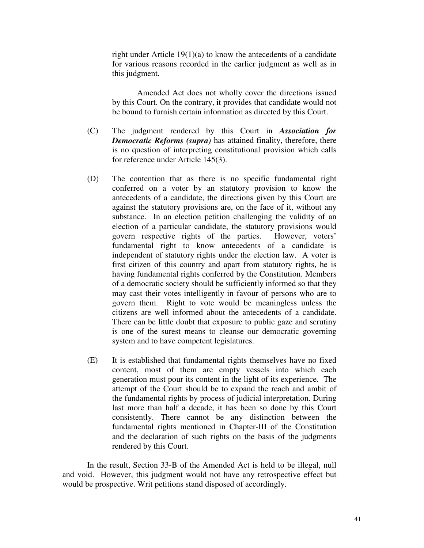right under Article 19(1)(a) to know the antecedents of a candidate for various reasons recorded in the earlier judgment as well as in this judgment.

Amended Act does not wholly cover the directions issued by this Court. On the contrary, it provides that candidate would not be bound to furnish certain information as directed by this Court.

- (C) The judgment rendered by this Court in *Association for Democratic Reforms (supra)* has attained finality, therefore, there is no question of interpreting constitutional provision which calls for reference under Article 145(3).
- (D) The contention that as there is no specific fundamental right conferred on a voter by an statutory provision to know the antecedents of a candidate, the directions given by this Court are against the statutory provisions are, on the face of it, without any substance. In an election petition challenging the validity of an election of a particular candidate, the statutory provisions would govern respective rights of the parties. However, voters' fundamental right to know antecedents of a candidate is independent of statutory rights under the election law. A voter is first citizen of this country and apart from statutory rights, he is having fundamental rights conferred by the Constitution. Members of a democratic society should be sufficiently informed so that they may cast their votes intelligently in favour of persons who are to govern them. Right to vote would be meaningless unless the citizens are well informed about the antecedents of a candidate. There can be little doubt that exposure to public gaze and scrutiny is one of the surest means to cleanse our democratic governing system and to have competent legislatures.
- (E) It is established that fundamental rights themselves have no fixed content, most of them are empty vessels into which each generation must pour its content in the light of its experience. The attempt of the Court should be to expand the reach and ambit of the fundamental rights by process of judicial interpretation. During last more than half a decade, it has been so done by this Court consistently. There cannot be any distinction between the fundamental rights mentioned in Chapter-III of the Constitution and the declaration of such rights on the basis of the judgments rendered by this Court.

In the result, Section 33-B of the Amended Act is held to be illegal, null and void. However, this judgment would not have any retrospective effect but would be prospective. Writ petitions stand disposed of accordingly.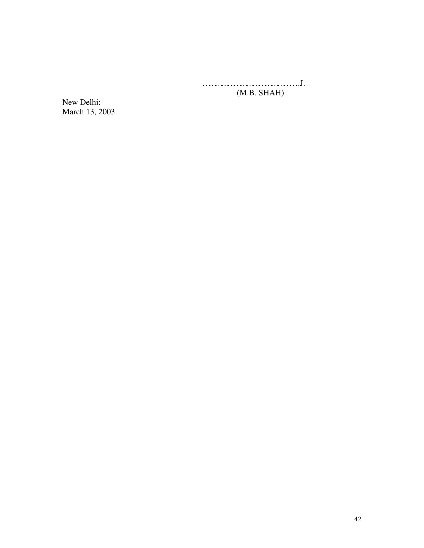………………………………………..J. (M.B. SHAH)

New Delhi: March 13, 2003.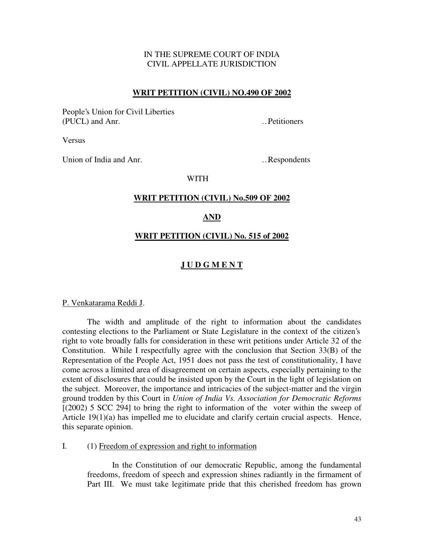# IN THE SUPREME COURT OF INDIA CIVIL APPELLATE JURISDICTION

### **WRIT PETITION (CIVIL) NO.490 OF 2002**

People's Union for Civil Liberties (PUCL) and Anr. …Petitioners

Versus

Union of India and Anr. …Respondents

### WITH

### **WRIT PETITION (CIVIL) No.509 OF 2002**

#### **AND**

#### **WRIT PETITION (CIVIL) No. 515 of 2002**

## **J U D G M E N T**

#### P. Venkatarama Reddi J.

The width and amplitude of the right to information about the candidates contesting elections to the Parliament or State Legislature in the context of the citizen's right to vote broadly falls for consideration in these writ petitions under Article 32 of the Constitution. While I respectfully agree with the conclusion that Section 33(B) of the Representation of the People Act, 1951 does not pass the test of constitutionality, I have come across a limited area of disagreement on certain aspects, especially pertaining to the extent of disclosures that could be insisted upon by the Court in the light of legislation on the subject. Moreover, the importance and intricacies of the subject-matter and the virgin ground trodden by this Court in *Union of India Vs. Association for Democratic Reforms* [(2002) 5 SCC 294] to bring the right to information of the voter within the sweep of Article 19(1)(a) has impelled me to elucidate and clarify certain crucial aspects. Hence, this separate opinion.

### I. (1) Freedom of expression and right to information

In the Constitution of our democratic Republic, among the fundamental freedoms, freedom of speech and expression shines radiantly in the firmament of Part III. We must take legitimate pride that this cherished freedom has grown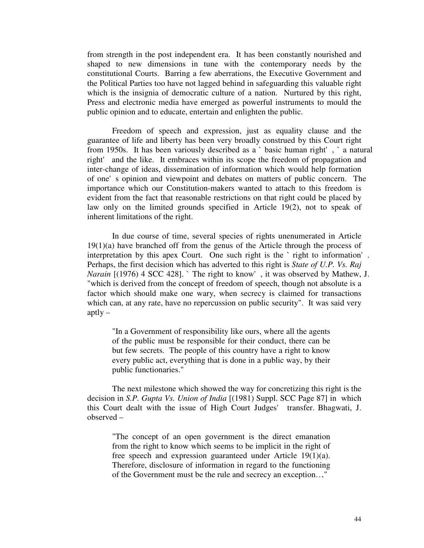from strength in the post independent era. It has been constantly nourished and shaped to new dimensions in tune with the contemporary needs by the constitutional Courts. Barring a few aberrations, the Executive Government and the Political Parties too have not lagged behind in safeguarding this valuable right which is the insignia of democratic culture of a nation. Nurtured by this right, Press and electronic media have emerged as powerful instruments to mould the public opinion and to educate, entertain and enlighten the public.

Freedom of speech and expression, just as equality clause and the guarantee of life and liberty has been very broadly construed by this Court right from 1950s. It has been variously described as a `basic human right', `a natural right' and the like. It embraces within its scope the freedom of propagation and inter-change of ideas, dissemination of information which would help formation of one's opinion and viewpoint and debates on matters of public concern. The importance which our Constitution-makers wanted to attach to this freedom is evident from the fact that reasonable restrictions on that right could be placed by law only on the limited grounds specified in Article 19(2), not to speak of inherent limitations of the right.

In due course of time, several species of rights unenumerated in Article 19(1)(a) have branched off from the genus of the Article through the process of interpretation by this apex Court. One such right is the `right to information'. Perhaps, the first decision which has adverted to this right is *State of U.P. Vs. Raj Narain* [(1976) 4 SCC 428]. `The right to know', it was observed by Mathew, J. "which is derived from the concept of freedom of speech, though not absolute is a factor which should make one wary, when secrecy is claimed for transactions which can, at any rate, have no repercussion on public security". It was said very aptly  $-$ 

"In a Government of responsibility like ours, where all the agents of the public must be responsible for their conduct, there can be but few secrets. The people of this country have a right to know every public act, everything that is done in a public way, by their public functionaries."

The next milestone which showed the way for concretizing this right is the decision in *S.P. Gupta Vs. Union of India* [(1981) Suppl. SCC Page 87] in which this Court dealt with the issue of High Court Judges' transfer. Bhagwati, J. observed –

"The concept of an open government is the direct emanation from the right to know which seems to be implicit in the right of free speech and expression guaranteed under Article 19(1)(a). Therefore, disclosure of information in regard to the functioning of the Government must be the rule and secrecy an exception…."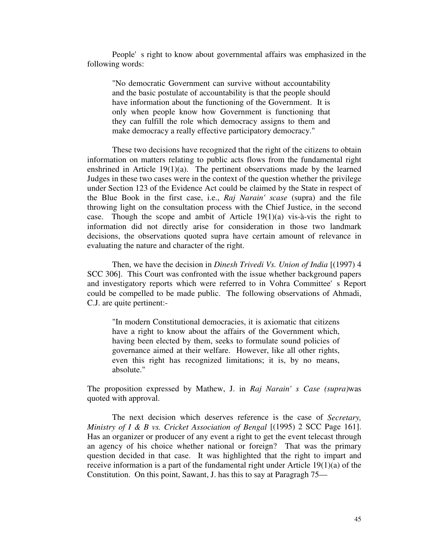People's right to know about governmental affairs was emphasized in the following words:

"No democratic Government can survive without accountability and the basic postulate of accountability is that the people should have information about the functioning of the Government. It is only when people know how Government is functioning that they can fulfill the role which democracy assigns to them and make democracy a really effective participatory democracy."

These two decisions have recognized that the right of the citizens to obtain information on matters relating to public acts flows from the fundamental right enshrined in Article  $19(1)(a)$ . The pertinent observations made by the learned Judges in these two cases were in the context of the question whether the privilege under Section 123 of the Evidence Act could be claimed by the State in respect of the Blue Book in the first case, i.e., *Raj Narain'scase* (supra) and the file throwing light on the consultation process with the Chief Justice, in the second case. Though the scope and ambit of Article 19(1)(a) vis-à-vis the right to information did not directly arise for consideration in those two landmark decisions, the observations quoted supra have certain amount of relevance in evaluating the nature and character of the right.

Then, we have the decision in *Dinesh Trivedi Vs. Union of India* [(1997) 4 SCC 306]. This Court was confronted with the issue whether background papers and investigatory reports which were referred to in Vohra Committee's Report could be compelled to be made public. The following observations of Ahmadi, C.J. are quite pertinent:-

"In modern Constitutional democracies, it is axiomatic that citizens have a right to know about the affairs of the Government which, having been elected by them, seeks to formulate sound policies of governance aimed at their welfare. However, like all other rights, even this right has recognized limitations; it is, by no means, absolute."

The proposition expressed by Mathew, J. in *Raj Narain's Case (supra)*was quoted with approval.

The next decision which deserves reference is the case of *Secretary, Ministry of I & B vs. Cricket Association of Bengal* [(1995) 2 SCC Page 161]. Has an organizer or producer of any event a right to get the event telecast through an agency of his choice whether national or foreign? That was the primary question decided in that case. It was highlighted that the right to impart and receive information is a part of the fundamental right under Article 19(1)(a) of the Constitution. On this point, Sawant, J. has this to say at Paragragh 75—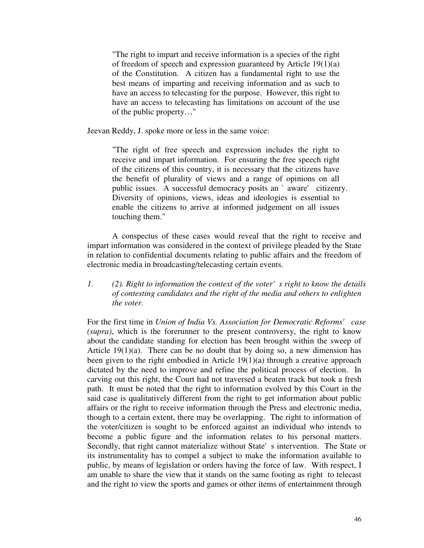"The right to impart and receive information is a species of the right of freedom of speech and expression guaranteed by Article 19(1)(a) of the Constitution. A citizen has a fundamental right to use the best means of imparting and receiving information and as such to have an access to telecasting for the purpose. However, this right to have an access to telecasting has limitations on account of the use of the public property…."

Jeevan Reddy, J. spoke more or less in the same voice:

"The right of free speech and expression includes the right to receive and impart information. For ensuring the free speech right of the citizens of this country, it is necessary that the citizens have the benefit of plurality of views and a range of opinions on all public issues. A successful democracy posits an `aware' citizenry. Diversity of opinions, views, ideas and ideologies is essential to enable the citizens to arrive at informed judgement on all issues touching them."

A conspectus of these cases would reveal that the right to receive and impart information was considered in the context of privilege pleaded by the State in relation to confidential documents relating to public affairs and the freedom of electronic media in broadcasting/telecasting certain events.

## *1. (2). Right to information the context of the voter's right to know the details of contesting candidates and the right of the media and others to enlighten the voter.*

For the first time in *Union of India Vs. Association for Democratic Reforms' case (supra)*, which is the forerunner to the present controversy, the right to know about the candidate standing for election has been brought within the sweep of Article  $19(1)(a)$ . There can be no doubt that by doing so, a new dimension has been given to the right embodied in Article 19(1)(a) through a creative approach dictated by the need to improve and refine the political process of election. In carving out this right, the Court had not traversed a beaten track but took a fresh path. It must be noted that the right to information evolved by this Court in the said case is qualitatively different from the right to get information about public affairs or the right to receive information through the Press and electronic media, though to a certain extent, there may be overlapping. The right to information of the voter/citizen is sought to be enforced against an individual who intends to become a public figure and the information relates to his personal matters. Secondly, that right cannot materialize without State's intervention. The State or its instrumentality has to compel a subject to make the information available to public, by means of legislation or orders having the force of law. With respect, I am unable to share the view that it stands on the same footing as right to telecast and the right to view the sports and games or other items of entertainment through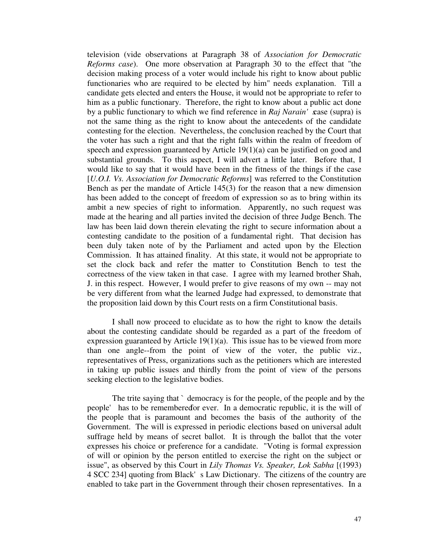television (vide observations at Paragraph 38 of *Association for Democratic Reforms case*). One more observation at Paragraph 30 to the effect that "the decision making process of a voter would include his right to know about public functionaries who are required to be elected by him" needs explanation. Till a candidate gets elected and enters the House, it would not be appropriate to refer to him as a public functionary. Therefore, the right to know about a public act done by a public functionary to which we find reference in *Raj Narain'* case (supra) is not the same thing as the right to know about the antecedents of the candidate contesting for the election. Nevertheless, the conclusion reached by the Court that the voter has such a right and that the right falls within the realm of freedom of speech and expression guaranteed by Article 19(1)(a) can be justified on good and substantial grounds. To this aspect, I will advert a little later. Before that, I would like to say that it would have been in the fitness of the things if the case [*U.O.I. Vs. Association for Democratic Reforms*] was referred to the Constitution Bench as per the mandate of Article 145(3) for the reason that a new dimension has been added to the concept of freedom of expression so as to bring within its ambit a new species of right to information. Apparently, no such request was made at the hearing and all parties invited the decision of three Judge Bench. The law has been laid down therein elevating the right to secure information about a contesting candidate to the position of a fundamental right. That decision has been duly taken note of by the Parliament and acted upon by the Election Commission. It has attained finality. At this state, it would not be appropriate to set the clock back and refer the matter to Constitution Bench to test the correctness of the view taken in that case. I agree with my learned brother Shah, J. in this respect. However, I would prefer to give reasons of my own -- may not be very different from what the learned Judge had expressed, to demonstrate that the proposition laid down by this Court rests on a firm Constitutional basis.

I shall now proceed to elucidate as to how the right to know the details about the contesting candidate should be regarded as a part of the freedom of expression guaranteed by Article 19(1)(a). This issue has to be viewed from more than one angle--from the point of view of the voter, the public viz., representatives of Press, organizations such as the petitioners which are interested in taking up public issues and thirdly from the point of view of the persons seeking election to the legislative bodies.

The trite saying that ` democracy is for the people, of the people and by the people' has to be remembered for ever. In a democratic republic, it is the will of the people that is paramount and becomes the basis of the authority of the Government. The will is expressed in periodic elections based on universal adult suffrage held by means of secret ballot. It is through the ballot that the voter expresses his choice or preference for a candidate. "Voting is formal expression of will or opinion by the person entitled to exercise the right on the subject or issue", as observed by this Court in *Lily Thomas Vs. Speaker, Lok Sabha* [(1993) 4 SCC 234] quoting from Black's Law Dictionary. The citizens of the country are enabled to take part in the Government through their chosen representatives. In a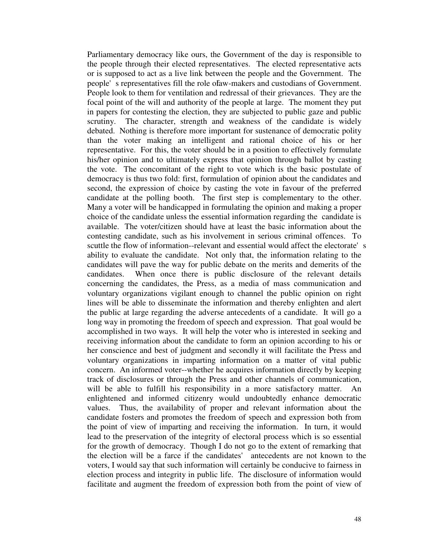Parliamentary democracy like ours, the Government of the day is responsible to the people through their elected representatives. The elected representative acts or is supposed to act as a live link between the people and the Government. The people's representatives fill the role of aw-makers and custodians of Government. People look to them for ventilation and redressal of their grievances. They are the focal point of the will and authority of the people at large. The moment they put in papers for contesting the election, they are subjected to public gaze and public scrutiny. The character, strength and weakness of the candidate is widely debated. Nothing is therefore more important for sustenance of democratic polity than the voter making an intelligent and rational choice of his or her representative. For this, the voter should be in a position to effectively formulate his/her opinion and to ultimately express that opinion through ballot by casting the vote. The concomitant of the right to vote which is the basic postulate of democracy is thus two fold: first, formulation of opinion about the candidates and second, the expression of choice by casting the vote in favour of the preferred candidate at the polling booth. The first step is complementary to the other. Many a voter will be handicapped in formulating the opinion and making a proper choice of the candidate unless the essential information regarding the candidate is available. The voter/citizen should have at least the basic information about the contesting candidate, such as his involvement in serious criminal offences. To scuttle the flow of information--relevant and essential would affect the electorate's ability to evaluate the candidate. Not only that, the information relating to the candidates will pave the way for public debate on the merits and demerits of the candidates. When once there is public disclosure of the relevant details concerning the candidates, the Press, as a media of mass communication and voluntary organizations vigilant enough to channel the public opinion on right lines will be able to disseminate the information and thereby enlighten and alert the public at large regarding the adverse antecedents of a candidate. It will go a long way in promoting the freedom of speech and expression. That goal would be accomplished in two ways. It will help the voter who is interested in seeking and receiving information about the candidate to form an opinion according to his or her conscience and best of judgment and secondly it will facilitate the Press and voluntary organizations in imparting information on a matter of vital public concern. An informed voter--whether he acquires information directly by keeping track of disclosures or through the Press and other channels of communication, will be able to fulfill his responsibility in a more satisfactory matter. An enlightened and informed citizenry would undoubtedly enhance democratic values. Thus, the availability of proper and relevant information about the candidate fosters and promotes the freedom of speech and expression both from the point of view of imparting and receiving the information. In turn, it would lead to the preservation of the integrity of electoral process which is so essential for the growth of democracy. Though I do not go to the extent of remarking that the election will be a farce if the candidates' antecedents are not known to the voters, I would say that such information will certainly be conducive to fairness in election process and integrity in public life. The disclosure of information would facilitate and augment the freedom of expression both from the point of view of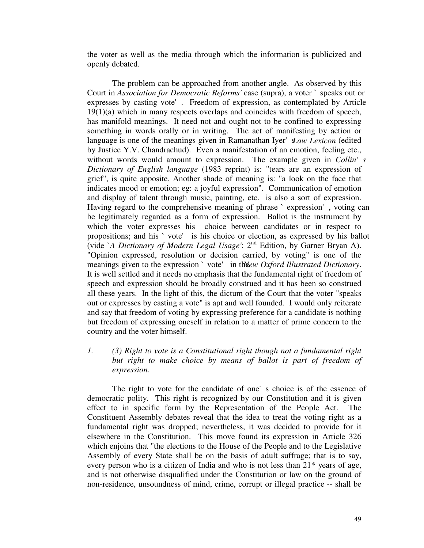the voter as well as the media through which the information is publicized and openly debated.

The problem can be approached from another angle. As observed by this Court in *Association for Democratic Reforms'* case (supra), a voter `speaks out or expresses by casting vote'. Freedom of expression, as contemplated by Article 19(1)(a) which in many respects overlaps and coincides with freedom of speech, has manifold meanings. It need not and ought not to be confined to expressing something in words orally or in writing. The act of manifesting by action or language is one of the meanings given in Ramanathan Iyer' *Law Lexicon* (edited by Justice Y.V. Chandrachud). Even a manifestation of an emotion, feeling etc., without words would amount to expression. The example given in *Collin's Dictionary of English language* (1983 reprint) is: "tears are an expression of grief", is quite apposite. Another shade of meaning is: "a look on the face that indicates mood or emotion; eg: a joyful expression". Communication of emotion and display of talent through music, painting, etc. is also a sort of expression. Having regard to the comprehensive meaning of phrase `expression', voting can be legitimately regarded as a form of expression. Ballot is the instrument by which the voter expresses his choice between candidates or in respect to propositions; and his `vote' is his choice or election, as expressed by his ballot (vide `*A Dictionary of Modern Legal Usage'*; 2<sup>nd</sup> Edition, by Garner Bryan A). "Opinion expressed, resolution or decision carried, by voting" is one of the meanings given to the expression `vote' in threw *Oxford Illustrated Dictionary*. It is well settled and it needs no emphasis that the fundamental right of freedom of speech and expression should be broadly construed and it has been so construed all these years. In the light of this, the dictum of the Court that the voter "speaks out or expresses by casting a vote" is apt and well founded. I would only reiterate and say that freedom of voting by expressing preference for a candidate is nothing but freedom of expressing oneself in relation to a matter of prime concern to the country and the voter himself.

## *1. (3) Right to vote is a Constitutional right though not a fundamental right but right to make choice by means of ballot is part of freedom of expression.*

The right to vote for the candidate of one's choice is of the essence of democratic polity. This right is recognized by our Constitution and it is given effect to in specific form by the Representation of the People Act. The Constituent Assembly debates reveal that the idea to treat the voting right as a fundamental right was dropped; nevertheless, it was decided to provide for it elsewhere in the Constitution. This move found its expression in Article 326 which enjoins that "the elections to the House of the People and to the Legislative Assembly of every State shall be on the basis of adult suffrage; that is to say, every person who is a citizen of India and who is not less than 21\* years of age, and is not otherwise disqualified under the Constitution or law on the ground of non-residence, unsoundness of mind, crime, corrupt or illegal practice -- shall be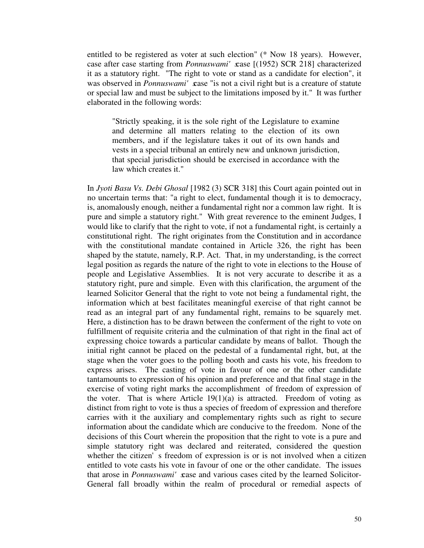entitled to be registered as voter at such election" (\* Now 18 years). However, case after case starting from *Ponnuswami'* case [(1952) SCR 218] characterized it as a statutory right. "The right to vote or stand as a candidate for election", it was observed in *Ponnuswami'* case "is not a civil right but is a creature of statute or special law and must be subject to the limitations imposed by it." It was further elaborated in the following words:

"Strictly speaking, it is the sole right of the Legislature to examine and determine all matters relating to the election of its own members, and if the legislature takes it out of its own hands and vests in a special tribunal an entirely new and unknown jurisdiction, that special jurisdiction should be exercised in accordance with the law which creates it."

In *Jyoti Basu Vs. Debi Ghosal* [1982 (3) SCR 318] this Court again pointed out in no uncertain terms that: "a right to elect, fundamental though it is to democracy, is, anomalously enough, neither a fundamental right nor a common law right. It is pure and simple a statutory right." With great reverence to the eminent Judges, I would like to clarify that the right to vote, if not a fundamental right, is certainly a constitutional right. The right originates from the Constitution and in accordance with the constitutional mandate contained in Article 326, the right has been shaped by the statute, namely, R.P. Act. That, in my understanding, is the correct legal position as regards the nature of the right to vote in elections to the House of people and Legislative Assemblies. It is not very accurate to describe it as a statutory right, pure and simple. Even with this clarification, the argument of the learned Solicitor General that the right to vote not being a fundamental right, the information which at best facilitates meaningful exercise of that right cannot be read as an integral part of any fundamental right, remains to be squarely met. Here, a distinction has to be drawn between the conferment of the right to vote on fulfillment of requisite criteria and the culmination of that right in the final act of expressing choice towards a particular candidate by means of ballot. Though the initial right cannot be placed on the pedestal of a fundamental right, but, at the stage when the voter goes to the polling booth and casts his vote, his freedom to express arises. The casting of vote in favour of one or the other candidate tantamounts to expression of his opinion and preference and that final stage in the exercise of voting right marks the accomplishment of freedom of expression of the voter. That is where Article  $19(1)(a)$  is attracted. Freedom of voting as distinct from right to vote is thus a species of freedom of expression and therefore carries with it the auxiliary and complementary rights such as right to secure information about the candidate which are conducive to the freedom. None of the decisions of this Court wherein the proposition that the right to vote is a pure and simple statutory right was declared and reiterated, considered the question whether the citizen's freedom of expression is or is not involved when a citizen entitled to vote casts his vote in favour of one or the other candidate. The issues that arose in *Ponnuswami'* xase and various cases cited by the learned Solicitor-General fall broadly within the realm of procedural or remedial aspects of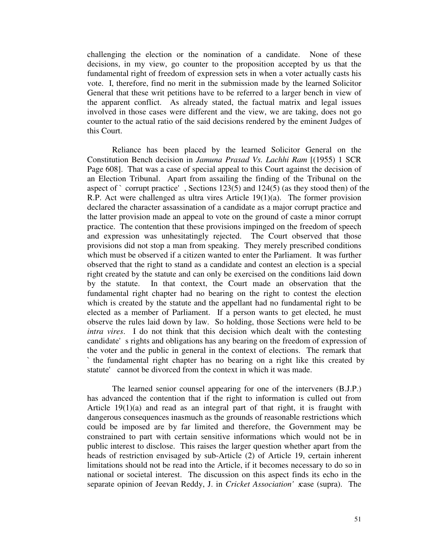challenging the election or the nomination of a candidate. None of these decisions, in my view, go counter to the proposition accepted by us that the fundamental right of freedom of expression sets in when a voter actually casts his vote. I, therefore, find no merit in the submission made by the learned Solicitor General that these writ petitions have to be referred to a larger bench in view of the apparent conflict. As already stated, the factual matrix and legal issues involved in those cases were different and the view, we are taking, does not go counter to the actual ratio of the said decisions rendered by the eminent Judges of this Court.

Reliance has been placed by the learned Solicitor General on the Constitution Bench decision in *Jamuna Prasad Vs. Lachhi Ram* [(1955) 1 SCR Page 608]. That was a case of special appeal to this Court against the decision of an Election Tribunal. Apart from assailing the finding of the Tribunal on the aspect of  $\degree$  corrupt practice', Sections 123(5) and 124(5) (as they stood then) of the R.P. Act were challenged as ultra vires Article 19(1)(a). The former provision declared the character assassination of a candidate as a major corrupt practice and the latter provision made an appeal to vote on the ground of caste a minor corrupt practice. The contention that these provisions impinged on the freedom of speech and expression was unhesitatingly rejected. The Court observed that those provisions did not stop a man from speaking. They merely prescribed conditions which must be observed if a citizen wanted to enter the Parliament. It was further observed that the right to stand as a candidate and contest an election is a special right created by the statute and can only be exercised on the conditions laid down by the statute. In that context, the Court made an observation that the fundamental right chapter had no bearing on the right to contest the election which is created by the statute and the appellant had no fundamental right to be elected as a member of Parliament. If a person wants to get elected, he must observe the rules laid down by law. So holding, those Sections were held to be *intra vires*. I do not think that this decision which dealt with the contesting candidate's rights and obligations has any bearing on the freedom of expression of the voter and the public in general in the context of elections. The remark that `the fundamental right chapter has no bearing on a right like this created by statute' cannot be divorced from the context in which it was made.

The learned senior counsel appearing for one of the interveners (B.J.P.) has advanced the contention that if the right to information is culled out from Article 19(1)(a) and read as an integral part of that right, it is fraught with dangerous consequences inasmuch as the grounds of reasonable restrictions which could be imposed are by far limited and therefore, the Government may be constrained to part with certain sensitive informations which would not be in public interest to disclose. This raises the larger question whether apart from the heads of restriction envisaged by sub-Article (2) of Article 19, certain inherent limitations should not be read into the Article, if it becomes necessary to do so in national or societal interest. The discussion on this aspect finds its echo in the separate opinion of Jeevan Reddy, J. in *Cricket Association'* xase (supra). The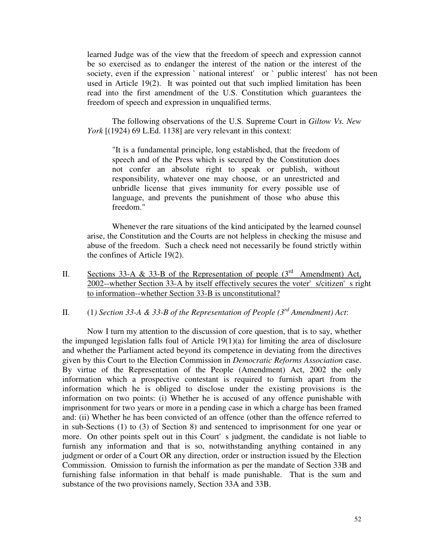learned Judge was of the view that the freedom of speech and expression cannot be so exercised as to endanger the interest of the nation or the interest of the society, even if the expression `national interest' or `public interest' has not been used in Article 19(2). It was pointed out that such implied limitation has been read into the first amendment of the U.S. Constitution which guarantees the freedom of speech and expression in unqualified terms.

The following observations of the U.S. Supreme Court in *Giltow Vs. New York* [(1924) 69 L.Ed. 1138] are very relevant in this context:

"It is a fundamental principle, long established, that the freedom of speech and of the Press which is secured by the Constitution does not confer an absolute right to speak or publish, without responsibility, whatever one may choose, or an unrestricted and unbridle license that gives immunity for every possible use of language, and prevents the punishment of those who abuse this freedom."

Whenever the rare situations of the kind anticipated by the learned counsel arise, the Constitution and the Courts are not helpless in checking the misuse and abuse of the freedom. Such a check need not necessarily be found strictly within the confines of Article 19(2).

II. Sections 33-A & 33-B of the Representation of people  $(3<sup>rd</sup>$  Amendment) Act, 2002--whether Section 33-A by itself effectively secures the voter's/citizen's right to information--whether Section 33-B is unconstitutional?

II. (1*) Section 33-A & 33-B of the Representation of People (3 rd Amendment) Act*:

Now I turn my attention to the discussion of core question, that is to say, whether the impunged legislation falls foul of Article 19(1)(a) for limiting the area of disclosure and whether the Parliament acted beyond its competence in deviating from the directives given by this Court to the Election Commission in *Democratic Reforms Association* case. By virtue of the Representation of the People (Amendment) Act, 2002 the only information which a prospective contestant is required to furnish apart from the information which he is obliged to disclose under the existing provisions is the information on two points: (i) Whether he is accused of any offence punishable with imprisonment for two years or more in a pending case in which a charge has been framed and: (ii) Whether he has been convicted of an offence (other than the offence referred to in sub-Sections (1) to (3) of Section 8) and sentenced to imprisonment for one year or more. On other points spelt out in this Court's judgment, the candidate is not liable to furnish any information and that is so, notwithstanding anything contained in any judgment or order of a Court OR any direction, order or instruction issued by the Election Commission. Omission to furnish the information as per the mandate of Section 33B and furnishing false information in that behalf is made punishable. That is the sum and substance of the two provisions namely, Section 33A and 33B.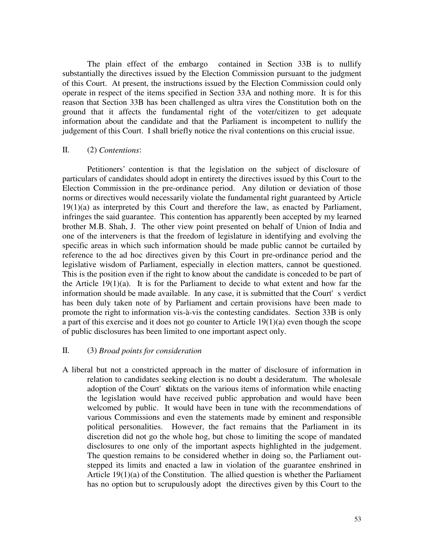The plain effect of the embargo contained in Section 33B is to nullify substantially the directives issued by the Election Commission pursuant to the judgment of this Court. At present, the instructions issued by the Election Commission could only operate in respect of the items specified in Section 33A and nothing more. It is for this reason that Section 33B has been challenged as ultra vires the Constitution both on the ground that it affects the fundamental right of the voter/citizen to get adequate information about the candidate and that the Parliament is incompetent to nullify the judgement of this Court. I shall briefly notice the rival contentions on this crucial issue.

## II. (2) *Contentions*:

Petitioners' contention is that the legislation on the subject of disclosure of particulars of candidates should adopt in entirety the directives issued by this Court to the Election Commission in the pre-ordinance period. Any dilution or deviation of those norms or directives would necessarily violate the fundamental right guaranteed by Article 19(1)(a) as interpreted by this Court and therefore the law, as enacted by Parliament, infringes the said guarantee. This contention has apparently been accepted by my learned brother M.B. Shah, J. The other view point presented on behalf of Union of India and one of the interveners is that the freedom of legislature in identifying and evolving the specific areas in which such information should be made public cannot be curtailed by reference to the ad hoc directives given by this Court in pre-ordinance period and the legislative wisdom of Parliament, especially in election matters, cannot be questioned. This is the position even if the right to know about the candidate is conceded to be part of the Article 19(1)(a). It is for the Parliament to decide to what extent and how far the information should be made available. In any case, it is submitted that the Court's verdict has been duly taken note of by Parliament and certain provisions have been made to promote the right to information vis-à-vis the contesting candidates. Section 33B is only a part of this exercise and it does not go counter to Article 19(1)(a) even though the scope of public disclosures has been limited to one important aspect only.

### II. (3) *Broad points for consideration*

A liberal but not a constricted approach in the matter of disclosure of information in relation to candidates seeking election is no doubt a desideratum. The wholesale adoption of the Court' sliktats on the various items of information while enacting the legislation would have received public approbation and would have been welcomed by public. It would have been in tune with the recommendations of various Commissions and even the statements made by eminent and responsible political personalities. However, the fact remains that the Parliament in its discretion did not go the whole hog, but chose to limiting the scope of mandated disclosures to one only of the important aspects highlighted in the judgement. The question remains to be considered whether in doing so, the Parliament outstepped its limits and enacted a law in violation of the guarantee enshrined in Article 19(1)(a) of the Constitution. The allied question is whether the Parliament has no option but to scrupulously adopt the directives given by this Court to the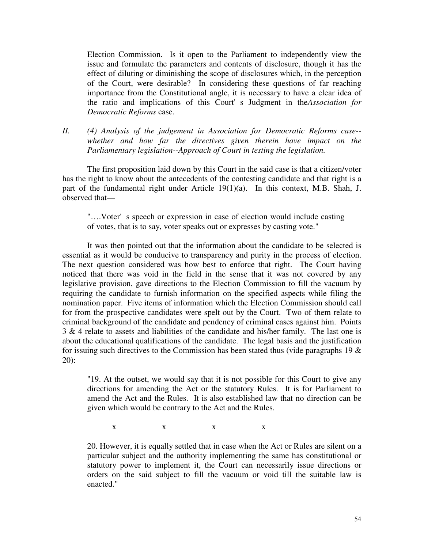Election Commission. Is it open to the Parliament to independently view the issue and formulate the parameters and contents of disclosure, though it has the effect of diluting or diminishing the scope of disclosures which, in the perception of the Court, were desirable? In considering these questions of far reaching importance from the Constitutional angle, it is necessary to have a clear idea of the ratio and implications of this Court's Judgment in the *Association for Democratic Reforms* case.

*II. (4) Analysis of the judgement in Association for Democratic Reforms case- whether and how far the directives given therein have impact on the Parliamentary legislation--Approach of Court in testing the legislation.*

The first proposition laid down by this Court in the said case is that a citizen/voter has the right to know about the antecedents of the contesting candidate and that right is a part of the fundamental right under Article 19(1)(a). In this context, M.B. Shah, J. observed that—

"… .Voter's speech or expression in case of election would include casting of votes, that is to say, voter speaks out or expresses by casting vote."

It was then pointed out that the information about the candidate to be selected is essential as it would be conducive to transparency and purity in the process of election. The next question considered was how best to enforce that right. The Court having noticed that there was void in the field in the sense that it was not covered by any legislative provision, gave directions to the Election Commission to fill the vacuum by requiring the candidate to furnish information on the specified aspects while filing the nomination paper. Five items of information which the Election Commission should call for from the prospective candidates were spelt out by the Court. Two of them relate to criminal background of the candidate and pendency of criminal cases against him. Points 3 & 4 relate to assets and liabilities of the candidate and his/her family. The last one is about the educational qualifications of the candidate. The legal basis and the justification for issuing such directives to the Commission has been stated thus (vide paragraphs  $19 \&$ 20):

"19. At the outset, we would say that it is not possible for this Court to give any directions for amending the Act or the statutory Rules. It is for Parliament to amend the Act and the Rules. It is also established law that no direction can be given which would be contrary to the Act and the Rules.

 $X$  x  $X$  x  $X$ 

20. However, it is equally settled that in case when the Act or Rules are silent on a particular subject and the authority implementing the same has constitutional or statutory power to implement it, the Court can necessarily issue directions or orders on the said subject to fill the vacuum or void till the suitable law is enacted."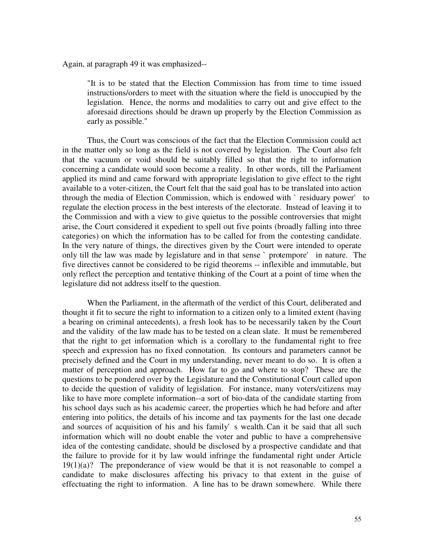Again, at paragraph 49 it was emphasized--

"It is to be stated that the Election Commission has from time to time issued instructions/orders to meet with the situation where the field is unoccupied by the legislation. Hence, the norms and modalities to carry out and give effect to the aforesaid directions should be drawn up properly by the Election Commission as early as possible."

Thus, the Court was conscious of the fact that the Election Commission could act in the matter only so long as the field is not covered by legislation. The Court also felt that the vacuum or void should be suitably filled so that the right to information concerning a candidate would soon become a reality. In other words, till the Parliament applied its mind and came forward with appropriate legislation to give effect to the right available to a voter-citizen, the Court felt that the said goal has to be translated into action through the media of Election Commission, which is endowed with `residuary power' to regulate the election process in the best interests of the electorate. Instead of leaving it to the Commission and with a view to give quietus to the possible controversies that might arise, the Court considered it expedient to spell out five points (broadly falling into three categories) on which the information has to be called for from the contesting candidate. In the very nature of things, the directives given by the Court were intended to operate only till the law was made by legislature and in that sense ` protempore' in nature. The five directives cannot be considered to be rigid theorems -- inflexible and immutable, but only reflect the perception and tentative thinking of the Court at a point of time when the legislature did not address itself to the question.

When the Parliament, in the aftermath of the verdict of this Court, deliberated and thought it fit to secure the right to information to a citizen only to a limited extent (having a bearing on criminal antecedents), a fresh look has to be necessarily taken by the Court and the validity of the law made has to be tested on a clean slate. It must be remembered that the right to get information which is a corollary to the fundamental right to free speech and expression has no fixed connotation. Its contours and parameters cannot be precisely defined and the Court in my understanding, never meant to do so. It is often a matter of perception and approach. How far to go and where to stop? These are the questions to be pondered over by the Legislature and the Constitutional Court called upon to decide the question of validity of legislation. For instance, many voters/citizens may like to have more complete information--a sort of bio-data of the candidate starting from his school days such as his academic career, the properties which he had before and after entering into politics, the details of his income and tax payments for the last one decade and sources of acquisition of his and his family's wealth. Can it be said that all such information which will no doubt enable the voter and public to have a comprehensive idea of the contesting candidate, should be disclosed by a prospective candidate and that the failure to provide for it by law would infringe the fundamental right under Article  $19(1)(a)$ ? The preponderance of view would be that it is not reasonable to compel a candidate to make disclosures affecting his privacy to that extent in the guise of effectuating the right to information. A line has to be drawn somewhere. While there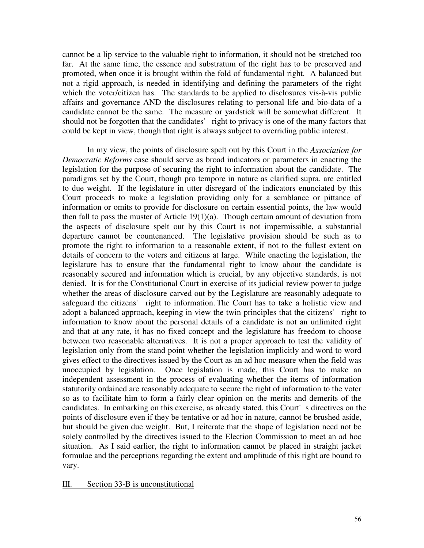cannot be a lip service to the valuable right to information, it should not be stretched too far. At the same time, the essence and substratum of the right has to be preserved and promoted, when once it is brought within the fold of fundamental right. A balanced but not a rigid approach, is needed in identifying and defining the parameters of the right which the voter/citizen has. The standards to be applied to disclosures vis-à-vis public affairs and governance AND the disclosures relating to personal life and bio-data of a candidate cannot be the same. The measure or yardstick will be somewhat different. It should not be forgotten that the candidates' right to privacy is one of the many factors that could be kept in view, though that right is always subject to overriding public interest.

In my view, the points of disclosure spelt out by this Court in the *Association for Democratic Reforms* case should serve as broad indicators or parameters in enacting the legislation for the purpose of securing the right to information about the candidate. The paradigms set by the Court, though pro tempore in nature as clarified supra, are entitled to due weight. If the legislature in utter disregard of the indicators enunciated by this Court proceeds to make a legislation providing only for a semblance or pittance of information or omits to provide for disclosure on certain essential points, the law would then fall to pass the muster of Article  $19(1)(a)$ . Though certain amount of deviation from the aspects of disclosure spelt out by this Court is not impermissible, a substantial departure cannot be countenanced. The legislative provision should be such as to promote the right to information to a reasonable extent, if not to the fullest extent on details of concern to the voters and citizens at large. While enacting the legislation, the legislature has to ensure that the fundamental right to know about the candidate is reasonably secured and information which is crucial, by any objective standards, is not denied. It is for the Constitutional Court in exercise of its judicial review power to judge whether the areas of disclosure carved out by the Legislature are reasonably adequate to safeguard the citizens' right to information. The Court has to take a holistic view and adopt a balanced approach, keeping in view the twin principles that the citizens' right to information to know about the personal details of a candidate is not an unlimited right and that at any rate, it has no fixed concept and the legislature has freedom to choose between two reasonable alternatives. It is not a proper approach to test the validity of legislation only from the stand point whether the legislation implicitly and word to word gives effect to the directives issued by the Court as an ad hoc measure when the field was unoccupied by legislation. Once legislation is made, this Court has to make an independent assessment in the process of evaluating whether the items of information statutorily ordained are reasonably adequate to secure the right of information to the voter so as to facilitate him to form a fairly clear opinion on the merits and demerits of the candidates. In embarking on this exercise, as already stated, this Court's directives on the points of disclosure even if they be tentative or ad hoc in nature, cannot be brushed aside, but should be given due weight. But, I reiterate that the shape of legislation need not be solely controlled by the directives issued to the Election Commission to meet an ad hoc situation. As I said earlier, the right to information cannot be placed in straight jacket formulae and the perceptions regarding the extent and amplitude of this right are bound to vary.

#### III. Section 33-B is unconstitutional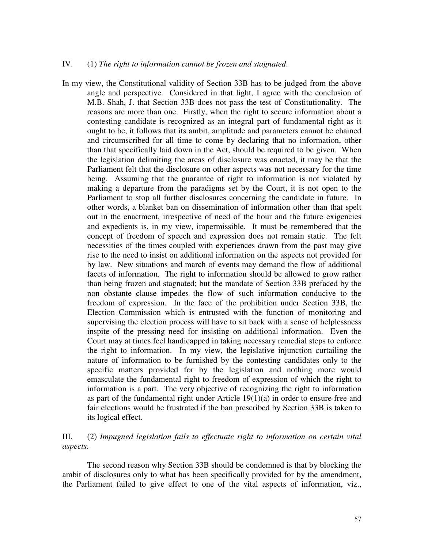#### IV. (1) *The right to information cannot be frozen and stagnated*.

In my view, the Constitutional validity of Section 33B has to be judged from the above angle and perspective. Considered in that light, I agree with the conclusion of M.B. Shah, J. that Section 33B does not pass the test of Constitutionality. The reasons are more than one. Firstly, when the right to secure information about a contesting candidate is recognized as an integral part of fundamental right as it ought to be, it follows that its ambit, amplitude and parameters cannot be chained and circumscribed for all time to come by declaring that no information, other than that specifically laid down in the Act, should be required to be given. When the legislation delimiting the areas of disclosure was enacted, it may be that the Parliament felt that the disclosure on other aspects was not necessary for the time being. Assuming that the guarantee of right to information is not violated by making a departure from the paradigms set by the Court, it is not open to the Parliament to stop all further disclosures concerning the candidate in future. In other words, a blanket ban on dissemination of information other than that spelt out in the enactment, irrespective of need of the hour and the future exigencies and expedients is, in my view, impermissible. It must be remembered that the concept of freedom of speech and expression does not remain static. The felt necessities of the times coupled with experiences drawn from the past may give rise to the need to insist on additional information on the aspects not provided for by law. New situations and march of events may demand the flow of additional facets of information. The right to information should be allowed to grow rather than being frozen and stagnated; but the mandate of Section 33B prefaced by the non obstante clause impedes the flow of such information conducive to the freedom of expression. In the face of the prohibition under Section 33B, the Election Commission which is entrusted with the function of monitoring and supervising the election process will have to sit back with a sense of helplessness inspite of the pressing need for insisting on additional information. Even the Court may at times feel handicapped in taking necessary remedial steps to enforce the right to information. In my view, the legislative injunction curtailing the nature of information to be furnished by the contesting candidates only to the specific matters provided for by the legislation and nothing more would emasculate the fundamental right to freedom of expression of which the right to information is a part. The very objective of recognizing the right to information as part of the fundamental right under Article 19(1)(a) in order to ensure free and fair elections would be frustrated if the ban prescribed by Section 33B is taken to its logical effect.

## III. (2) *Impugned legislation fails to effectuate right to information on certain vital aspects*.

The second reason why Section 33B should be condemned is that by blocking the ambit of disclosures only to what has been specifically provided for by the amendment, the Parliament failed to give effect to one of the vital aspects of information, viz.,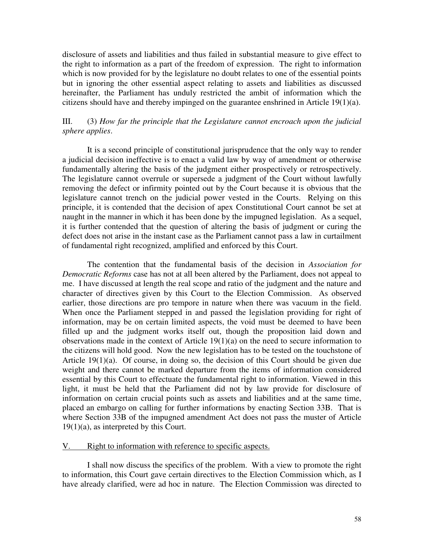disclosure of assets and liabilities and thus failed in substantial measure to give effect to the right to information as a part of the freedom of expression. The right to information which is now provided for by the legislature no doubt relates to one of the essential points but in ignoring the other essential aspect relating to assets and liabilities as discussed hereinafter, the Parliament has unduly restricted the ambit of information which the citizens should have and thereby impinged on the guarantee enshrined in Article 19(1)(a).

# III. (3) *How far the principle that the Legislature cannot encroach upon the judicial sphere applies*.

It is a second principle of constitutional jurisprudence that the only way to render a judicial decision ineffective is to enact a valid law by way of amendment or otherwise fundamentally altering the basis of the judgment either prospectively or retrospectively. The legislature cannot overrule or supersede a judgment of the Court without lawfully removing the defect or infirmity pointed out by the Court because it is obvious that the legislature cannot trench on the judicial power vested in the Courts. Relying on this principle, it is contended that the decision of apex Constitutional Court cannot be set at naught in the manner in which it has been done by the impugned legislation. As a sequel, it is further contended that the question of altering the basis of judgment or curing the defect does not arise in the instant case as the Parliament cannot pass a law in curtailment of fundamental right recognized, amplified and enforced by this Court.

The contention that the fundamental basis of the decision in *Association for Democratic Reforms* case has not at all been altered by the Parliament, does not appeal to me. I have discussed at length the real scope and ratio of the judgment and the nature and character of directives given by this Court to the Election Commission. As observed earlier, those directions are pro tempore in nature when there was vacuum in the field. When once the Parliament stepped in and passed the legislation providing for right of information, may be on certain limited aspects, the void must be deemed to have been filled up and the judgment works itself out, though the proposition laid down and observations made in the context of Article 19(1)(a) on the need to secure information to the citizens will hold good. Now the new legislation has to be tested on the touchstone of Article 19(1)(a). Of course, in doing so, the decision of this Court should be given due weight and there cannot be marked departure from the items of information considered essential by this Court to effectuate the fundamental right to information. Viewed in this light, it must be held that the Parliament did not by law provide for disclosure of information on certain crucial points such as assets and liabilities and at the same time, placed an embargo on calling for further informations by enacting Section 33B. That is where Section 33B of the impugned amendment Act does not pass the muster of Article  $19(1)(a)$ , as interpreted by this Court.

#### V. Right to information with reference to specific aspects.

I shall now discuss the specifics of the problem. With a view to promote the right to information, this Court gave certain directives to the Election Commission which, as I have already clarified, were ad hoc in nature. The Election Commission was directed to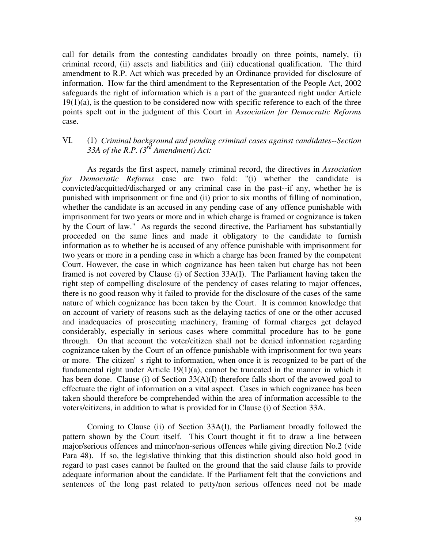call for details from the contesting candidates broadly on three points, namely, (i) criminal record, (ii) assets and liabilities and (iii) educational qualification. The third amendment to R.P. Act which was preceded by an Ordinance provided for disclosure of information. How far the third amendment to the Representation of the People Act, 2002 safeguards the right of information which is a part of the guaranteed right under Article  $19(1)(a)$ , is the question to be considered now with specific reference to each of the three points spelt out in the judgment of this Court in *Association for Democratic Reforms* case.

## VI. (1) *Criminal background and pending criminal cases against candidates--Section 33A of the R.P. (3 rd Amendment) Act:*

As regards the first aspect, namely criminal record, the directives in *Association for Democratic Reforms* case are two fold: "(i) whether the candidate is convicted/acquitted/discharged or any criminal case in the past--if any, whether he is punished with imprisonment or fine and (ii) prior to six months of filling of nomination, whether the candidate is an accused in any pending case of any offence punishable with imprisonment for two years or more and in which charge is framed or cognizance is taken by the Court of law." As regards the second directive, the Parliament has substantially proceeded on the same lines and made it obligatory to the candidate to furnish information as to whether he is accused of any offence punishable with imprisonment for two years or more in a pending case in which a charge has been framed by the competent Court. However, the case in which cognizance has been taken but charge has not been framed is not covered by Clause (i) of Section 33A(I). The Parliament having taken the right step of compelling disclosure of the pendency of cases relating to major offences, there is no good reason why it failed to provide for the disclosure of the cases of the same nature of which cognizance has been taken by the Court. It is common knowledge that on account of variety of reasons such as the delaying tactics of one or the other accused and inadequacies of prosecuting machinery, framing of formal charges get delayed considerably, especially in serious cases where committal procedure has to be gone through. On that account the voter/citizen shall not be denied information regarding cognizance taken by the Court of an offence punishable with imprisonment for two years or more. The citizen's right to information, when once it is recognized to be part of the fundamental right under Article 19(1)(a), cannot be truncated in the manner in which it has been done. Clause (i) of Section 33(A)(I) therefore falls short of the avowed goal to effectuate the right of information on a vital aspect. Cases in which cognizance has been taken should therefore be comprehended within the area of information accessible to the voters/citizens, in addition to what is provided for in Clause (i) of Section 33A.

Coming to Clause (ii) of Section 33A(I), the Parliament broadly followed the pattern shown by the Court itself. This Court thought it fit to draw a line between major/serious offences and minor/non-serious offences while giving direction No.2 (vide Para 48). If so, the legislative thinking that this distinction should also hold good in regard to past cases cannot be faulted on the ground that the said clause fails to provide adequate information about the candidate. If the Parliament felt that the convictions and sentences of the long past related to petty/non serious offences need not be made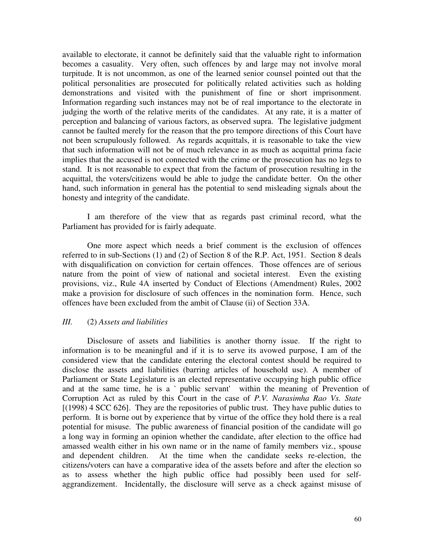available to electorate, it cannot be definitely said that the valuable right to information becomes a casuality. Very often, such offences by and large may not involve moral turpitude. It is not uncommon, as one of the learned senior counsel pointed out that the political personalities are prosecuted for politically related activities such as holding demonstrations and visited with the punishment of fine or short imprisonment. Information regarding such instances may not be of real importance to the electorate in judging the worth of the relative merits of the candidates. At any rate, it is a matter of perception and balancing of various factors, as observed supra. The legislative judgment cannot be faulted merely for the reason that the pro tempore directions of this Court have not been scrupulously followed. As regards acquittals, it is reasonable to take the view that such information will not be of much relevance in as much as acquittal prima facie implies that the accused is not connected with the crime or the prosecution has no legs to stand. It is not reasonable to expect that from the factum of prosecution resulting in the acquittal, the voters/citizens would be able to judge the candidate better. On the other hand, such information in general has the potential to send misleading signals about the honesty and integrity of the candidate.

I am therefore of the view that as regards past criminal record, what the Parliament has provided for is fairly adequate.

One more aspect which needs a brief comment is the exclusion of offences referred to in sub-Sections (1) and (2) of Section 8 of the R.P. Act, 1951. Section 8 deals with disqualification on conviction for certain offences. Those offences are of serious nature from the point of view of national and societal interest. Even the existing provisions, viz., Rule 4A inserted by Conduct of Elections (Amendment) Rules, 2002 make a provision for disclosure of such offences in the nomination form. Hence, such offences have been excluded from the ambit of Clause (ii) of Section 33A.

## *III.* (2) *Assets and liabilities*

Disclosure of assets and liabilities is another thorny issue. If the right to information is to be meaningful and if it is to serve its avowed purpose, I am of the considered view that the candidate entering the electoral contest should be required to disclose the assets and liabilities (barring articles of household use). A member of Parliament or State Legislature is an elected representative occupying high public office and at the same time, he is a `public servant' within the meaning of Prevention of Corruption Act as ruled by this Court in the case of *P.V. Narasimha Rao Vs. State* [(1998) 4 SCC 626]. They are the repositories of public trust. They have public duties to perform. It is borne out by experience that by virtue of the office they hold there is a real potential for misuse. The public awareness of financial position of the candidate will go a long way in forming an opinion whether the candidate, after election to the office had amassed wealth either in his own name or in the name of family members viz., spouse and dependent children. At the time when the candidate seeks re-election, the citizens/voters can have a comparative idea of the assets before and after the election so as to assess whether the high public office had possibly been used for selfaggrandizement. Incidentally, the disclosure will serve as a check against misuse of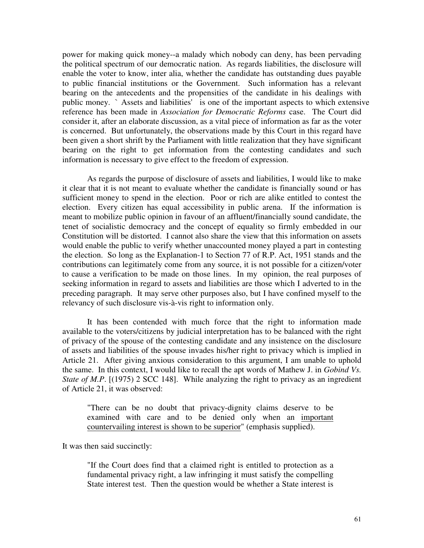power for making quick money--a malady which nobody can deny, has been pervading the political spectrum of our democratic nation. As regards liabilities, the disclosure will enable the voter to know, inter alia, whether the candidate has outstanding dues payable to public financial institutions or the Government. Such information has a relevant bearing on the antecedents and the propensities of the candidate in his dealings with public money. `Assets and liabilities' is one of the important aspects to which extensive reference has been made in *Association for Democratic Reforms* case. The Court did consider it, after an elaborate discussion, as a vital piece of information as far as the voter is concerned. But unfortunately, the observations made by this Court in this regard have been given a short shrift by the Parliament with little realization that they have significant bearing on the right to get information from the contesting candidates and such information is necessary to give effect to the freedom of expression.

As regards the purpose of disclosure of assets and liabilities, I would like to make it clear that it is not meant to evaluate whether the candidate is financially sound or has sufficient money to spend in the election. Poor or rich are alike entitled to contest the election. Every citizen has equal accessibility in public arena. If the information is meant to mobilize public opinion in favour of an affluent/financially sound candidate, the tenet of socialistic democracy and the concept of equality so firmly embedded in our Constitution will be distorted. I cannot also share the view that this information on assets would enable the public to verify whether unaccounted money played a part in contesting the election. So long as the Explanation-1 to Section 77 of R.P. Act, 1951 stands and the contributions can legitimately come from any source, it is not possible for a citizen/voter to cause a verification to be made on those lines. In my opinion, the real purposes of seeking information in regard to assets and liabilities are those which I adverted to in the preceding paragraph. It may serve other purposes also, but I have confined myself to the relevancy of such disclosure vis-à-vis right to information only.

It has been contended with much force that the right to information made available to the voters/citizens by judicial interpretation has to be balanced with the right of privacy of the spouse of the contesting candidate and any insistence on the disclosure of assets and liabilities of the spouse invades his/her right to privacy which is implied in Article 21. After giving anxious consideration to this argument, I am unable to uphold the same. In this context, I would like to recall the apt words of Mathew J. in *Gobind Vs. State of M.P.* [(1975) 2 SCC 148]. While analyzing the right to privacy as an ingredient of Article 21, it was observed:

"There can be no doubt that privacy-dignity claims deserve to be examined with care and to be denied only when an important countervailing interest is shown to be superior" (emphasis supplied).

It was then said succinctly:

"If the Court does find that a claimed right is entitled to protection as a fundamental privacy right, a law infringing it must satisfy the compelling State interest test. Then the question would be whether a State interest is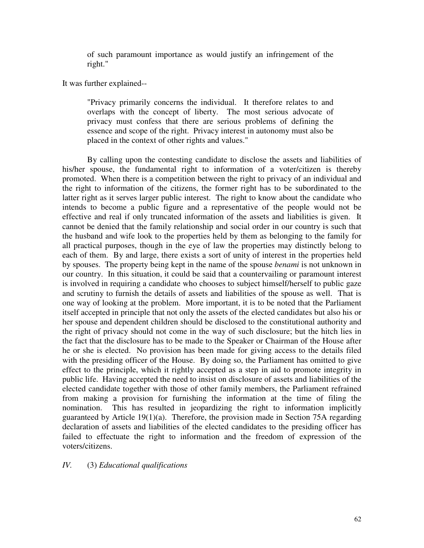of such paramount importance as would justify an infringement of the right."

It was further explained--

"Privacy primarily concerns the individual. It therefore relates to and overlaps with the concept of liberty. The most serious advocate of privacy must confess that there are serious problems of defining the essence and scope of the right. Privacy interest in autonomy must also be placed in the context of other rights and values."

By calling upon the contesting candidate to disclose the assets and liabilities of his/her spouse, the fundamental right to information of a voter/citizen is thereby promoted. When there is a competition between the right to privacy of an individual and the right to information of the citizens, the former right has to be subordinated to the latter right as it serves larger public interest. The right to know about the candidate who intends to become a public figure and a representative of the people would not be effective and real if only truncated information of the assets and liabilities is given. It cannot be denied that the family relationship and social order in our country is such that the husband and wife look to the properties held by them as belonging to the family for all practical purposes, though in the eye of law the properties may distinctly belong to each of them. By and large, there exists a sort of unity of interest in the properties held by spouses. The property being kept in the name of the spouse *benami* is not unknown in our country. In this situation, it could be said that a countervailing or paramount interest is involved in requiring a candidate who chooses to subject himself/herself to public gaze and scrutiny to furnish the details of assets and liabilities of the spouse as well. That is one way of looking at the problem. More important, it is to be noted that the Parliament itself accepted in principle that not only the assets of the elected candidates but also his or her spouse and dependent children should be disclosed to the constitutional authority and the right of privacy should not come in the way of such disclosure; but the hitch lies in the fact that the disclosure has to be made to the Speaker or Chairman of the House after he or she is elected. No provision has been made for giving access to the details filed with the presiding officer of the House. By doing so, the Parliament has omitted to give effect to the principle, which it rightly accepted as a step in aid to promote integrity in public life. Having accepted the need to insist on disclosure of assets and liabilities of the elected candidate together with those of other family members, the Parliament refrained from making a provision for furnishing the information at the time of filing the nomination. This has resulted in jeopardizing the right to information implicitly guaranteed by Article 19(1)(a). Therefore, the provision made in Section 75A regarding declaration of assets and liabilities of the elected candidates to the presiding officer has failed to effectuate the right to information and the freedom of expression of the voters/citizens.

# *IV.* (3) *Educational qualifications*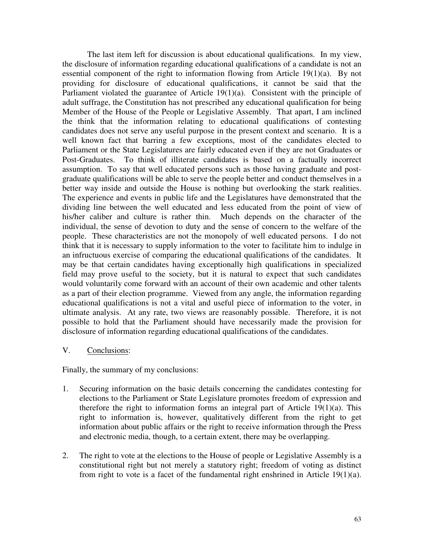The last item left for discussion is about educational qualifications. In my view, the disclosure of information regarding educational qualifications of a candidate is not an essential component of the right to information flowing from Article 19(1)(a). By not providing for disclosure of educational qualifications, it cannot be said that the Parliament violated the guarantee of Article 19(1)(a). Consistent with the principle of adult suffrage, the Constitution has not prescribed any educational qualification for being Member of the House of the People or Legislative Assembly. That apart, I am inclined the think that the information relating to educational qualifications of contesting candidates does not serve any useful purpose in the present context and scenario. It is a well known fact that barring a few exceptions, most of the candidates elected to Parliament or the State Legislatures are fairly educated even if they are not Graduates or Post-Graduates. To think of illiterate candidates is based on a factually incorrect assumption. To say that well educated persons such as those having graduate and postgraduate qualifications will be able to serve the people better and conduct themselves in a better way inside and outside the House is nothing but overlooking the stark realities. The experience and events in public life and the Legislatures have demonstrated that the dividing line between the well educated and less educated from the point of view of his/her caliber and culture is rather thin. Much depends on the character of the individual, the sense of devotion to duty and the sense of concern to the welfare of the people. These characteristics are not the monopoly of well educated persons. I do not think that it is necessary to supply information to the voter to facilitate him to indulge in an infructuous exercise of comparing the educational qualifications of the candidates. It may be that certain candidates having exceptionally high qualifications in specialized field may prove useful to the society, but it is natural to expect that such candidates would voluntarily come forward with an account of their own academic and other talents as a part of their election programme. Viewed from any angle, the information regarding educational qualifications is not a vital and useful piece of information to the voter, in ultimate analysis. At any rate, two views are reasonably possible. Therefore, it is not possible to hold that the Parliament should have necessarily made the provision for disclosure of information regarding educational qualifications of the candidates.

## V. Conclusions:

Finally, the summary of my conclusions:

- 1. Securing information on the basic details concerning the candidates contesting for elections to the Parliament or State Legislature promotes freedom of expression and therefore the right to information forms an integral part of Article  $19(1)(a)$ . This right to information is, however, qualitatively different from the right to get information about public affairs or the right to receive information through the Press and electronic media, though, to a certain extent, there may be overlapping.
- 2. The right to vote at the elections to the House of people or Legislative Assembly is a constitutional right but not merely a statutory right; freedom of voting as distinct from right to vote is a facet of the fundamental right enshrined in Article 19(1)(a).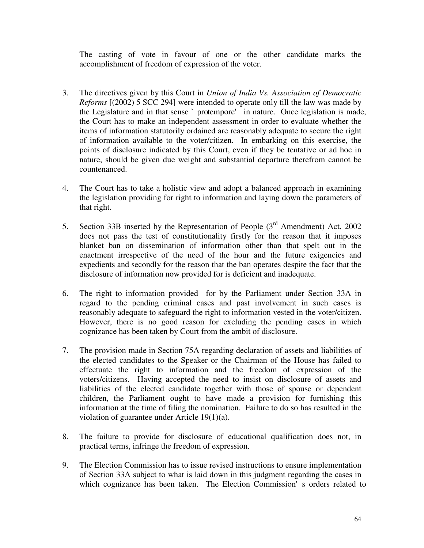The casting of vote in favour of one or the other candidate marks the accomplishment of freedom of expression of the voter.

- 3. The directives given by this Court in *Union of India Vs. Association of Democratic Reforms* [(2002) 5 SCC 294] were intended to operate only till the law was made by the Legislature and in that sense `protempore' in nature. Once legislation is made, the Court has to make an independent assessment in order to evaluate whether the items of information statutorily ordained are reasonably adequate to secure the right of information available to the voter/citizen. In embarking on this exercise, the points of disclosure indicated by this Court, even if they be tentative or ad hoc in nature, should be given due weight and substantial departure therefrom cannot be countenanced.
- 4. The Court has to take a holistic view and adopt a balanced approach in examining the legislation providing for right to information and laying down the parameters of that right.
- 5. Section 33B inserted by the Representation of People  $(3<sup>rd</sup>$  Amendment) Act, 2002 does not pass the test of constitutionality firstly for the reason that it imposes blanket ban on dissemination of information other than that spelt out in the enactment irrespective of the need of the hour and the future exigencies and expedients and secondly for the reason that the ban operates despite the fact that the disclosure of information now provided for is deficient and inadequate.
- 6. The right to information provided for by the Parliament under Section 33A in regard to the pending criminal cases and past involvement in such cases is reasonably adequate to safeguard the right to information vested in the voter/citizen. However, there is no good reason for excluding the pending cases in which cognizance has been taken by Court from the ambit of disclosure.
- 7. The provision made in Section 75A regarding declaration of assets and liabilities of the elected candidates to the Speaker or the Chairman of the House has failed to effectuate the right to information and the freedom of expression of the voters/citizens. Having accepted the need to insist on disclosure of assets and liabilities of the elected candidate together with those of spouse or dependent children, the Parliament ought to have made a provision for furnishing this information at the time of filing the nomination. Failure to do so has resulted in the violation of guarantee under Article 19(1)(a).
- 8. The failure to provide for disclosure of educational qualification does not, in practical terms, infringe the freedom of expression.
- 9. The Election Commission has to issue revised instructions to ensure implementation of Section 33A subject to what is laid down in this judgment regarding the cases in which cognizance has been taken. The Election Commission's orders related to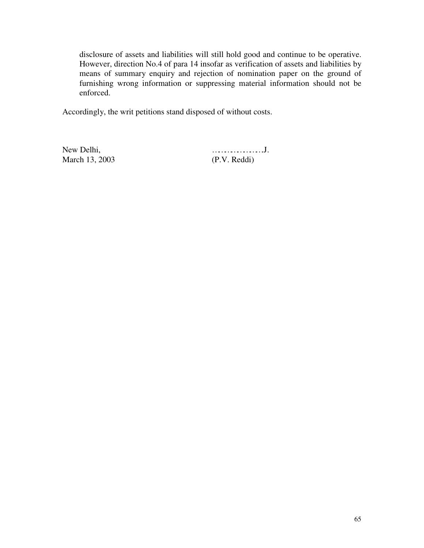disclosure of assets and liabilities will still hold good and continue to be operative. However, direction No.4 of para 14 insofar as verification of assets and liabilities by means of summary enquiry and rejection of nomination paper on the ground of furnishing wrong information or suppressing material information should not be enforced.

Accordingly, the writ petitions stand disposed of without costs.

New Delhi, means that the contract of the contract of the contract of the contract of the contract of the contract of the contract of the contract of the contract of the contract of the contract of the contract of the cont March 13, 2003 (P.V. Reddi)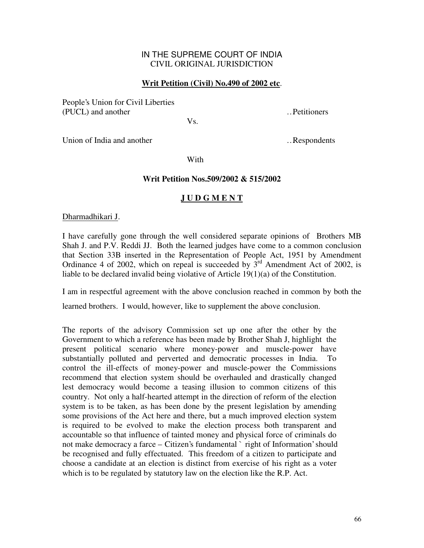## IN THE SUPREME COURT OF INDIA CIVIL ORIGINAL JURISDICTION

## **Writ Petition (Civil) No.490 of 2002 etc**.

People's Union for Civil Liberties (PUCL) and another methods are settled and another methods with the settlement of  $\sim$  Petitioners

Vs.

Union of India and another methods with the subset of India and another methods with the subset of  $\sim$  Respondents

With

### **Writ Petition Nos.509/2002 & 515/2002**

## **J U D G M E N T**

Dharmadhikari J.

I have carefully gone through the well considered separate opinions of Brothers MB Shah J. and P.V. Reddi JJ. Both the learned judges have come to a common conclusion that Section 33B inserted in the Representation of People Act, 1951 by Amendment Ordinance 4 of 2002, which on repeal is succeeded by  $3<sup>rd</sup>$  Amendment Act of 2002, is liable to be declared invalid being violative of Article 19(1)(a) of the Constitution.

I am in respectful agreement with the above conclusion reached in common by both the

learned brothers. I would, however, like to supplement the above conclusion.

The reports of the advisory Commission set up one after the other by the Government to which a reference has been made by Brother Shah J, highlight the present political scenario where money-power and muscle-power have substantially polluted and perverted and democratic processes in India. To control the ill-effects of money-power and muscle-power the Commissions recommend that election system should be overhauled and drastically changed lest democracy would become a teasing illusion to common citizens of this country. Not only a half-hearted attempt in the direction of reform of the election system is to be taken, as has been done by the present legislation by amending some provisions of the Act here and there, but a much improved election system is required to be evolved to make the election process both transparent and accountable so that influence of tainted money and physical force of criminals do not make democracy a farce – Citizen's fundamental `right of Information' should be recognised and fully effectuated. This freedom of a citizen to participate and choose a candidate at an election is distinct from exercise of his right as a voter which is to be regulated by statutory law on the election like the R.P. Act.